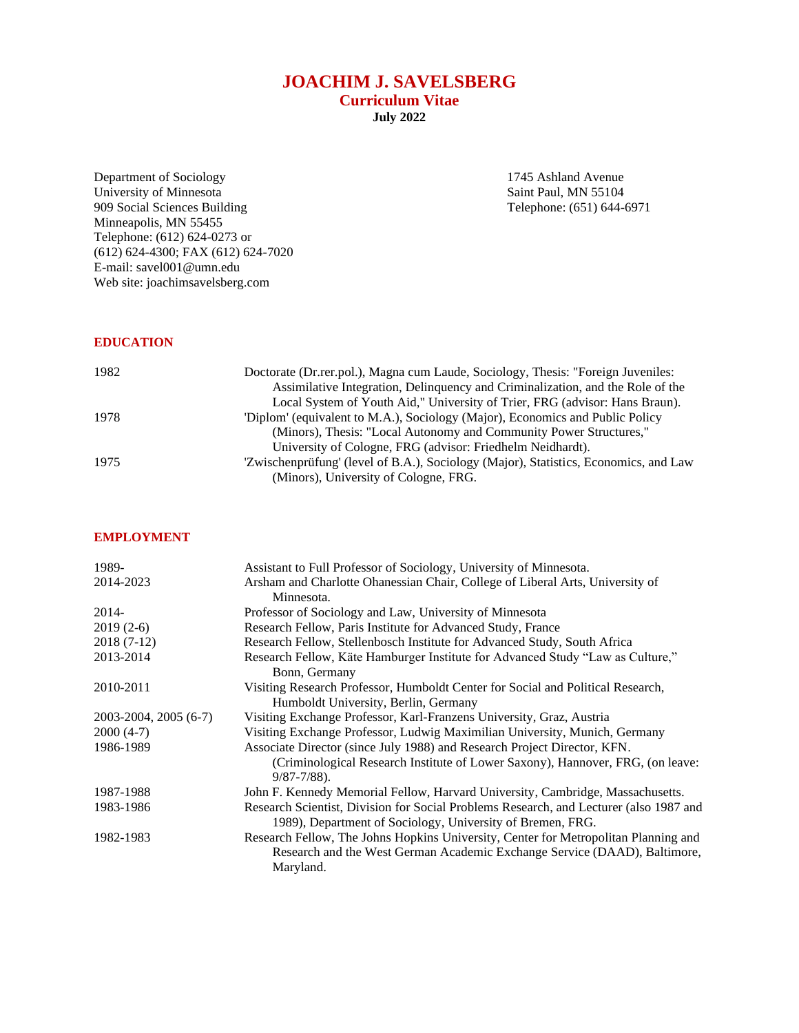# **JOACHIM J. SAVELSBERG**

**Curriculum Vitae**

**July 2022**

Department of Sociology 1745 Ashland Avenue University of Minnesota<br>
University of Minnesota<br>
Saint Paul, MN 55104 University of Minnesota Saint Paul, MN 55104 909 Social Sciences Building Telephone: (651) 644-6971 Minneapolis, MN 55455 Telephone: (612) 624-0273 or (612) 624-4300; FAX (612) 624-7020 E-mail: savel001@umn.edu Web site: joachimsavelsberg.com

### **EDUCATION**

| 1982 | Doctorate (Dr. rer. pol.), Magna cum Laude, Sociology, Thesis: "Foreign Juveniles:   |
|------|--------------------------------------------------------------------------------------|
|      | Assimilative Integration, Delinquency and Criminalization, and the Role of the       |
|      | Local System of Youth Aid," University of Trier, FRG (advisor: Hans Braun).          |
| 1978 | 'Diplom' (equivalent to M.A.), Sociology (Major), Economics and Public Policy        |
|      | (Minors), Thesis: "Local Autonomy and Community Power Structures,"                   |
|      | University of Cologne, FRG (advisor: Friedhelm Neidhardt).                           |
| 1975 | 'Zwischenprüfung' (level of B.A.), Sociology (Major), Statistics, Economics, and Law |
|      | (Minors), University of Cologne, FRG.                                                |

# **EMPLOYMENT**

| 1989-                 | Assistant to Full Professor of Sociology, University of Minnesota.                          |
|-----------------------|---------------------------------------------------------------------------------------------|
| 2014-2023             | Arsham and Charlotte Ohanessian Chair, College of Liberal Arts, University of<br>Minnesota. |
|                       |                                                                                             |
| 2014-                 | Professor of Sociology and Law, University of Minnesota                                     |
| $2019(2-6)$           | Research Fellow, Paris Institute for Advanced Study, France                                 |
| $2018(7-12)$          | Research Fellow, Stellenbosch Institute for Advanced Study, South Africa                    |
| 2013-2014             | Research Fellow, Käte Hamburger Institute for Advanced Study "Law as Culture,"              |
|                       | Bonn, Germany                                                                               |
| 2010-2011             | Visiting Research Professor, Humboldt Center for Social and Political Research,             |
|                       | Humboldt University, Berlin, Germany                                                        |
| 2003-2004, 2005 (6-7) | Visiting Exchange Professor, Karl-Franzens University, Graz, Austria                        |
| $2000(4-7)$           | Visiting Exchange Professor, Ludwig Maximilian University, Munich, Germany                  |
| 1986-1989             | Associate Director (since July 1988) and Research Project Director, KFN.                    |
|                       | (Criminological Research Institute of Lower Saxony), Hannover, FRG, (on leave:              |
|                       | $9/87 - 7/88$ .                                                                             |
| 1987-1988             | John F. Kennedy Memorial Fellow, Harvard University, Cambridge, Massachusetts.              |
| 1983-1986             | Research Scientist, Division for Social Problems Research, and Lecturer (also 1987 and      |
|                       | 1989), Department of Sociology, University of Bremen, FRG.                                  |
| 1982-1983             | Research Fellow, The Johns Hopkins University, Center for Metropolitan Planning and         |
|                       | Research and the West German Academic Exchange Service (DAAD), Baltimore,                   |
|                       | Maryland.                                                                                   |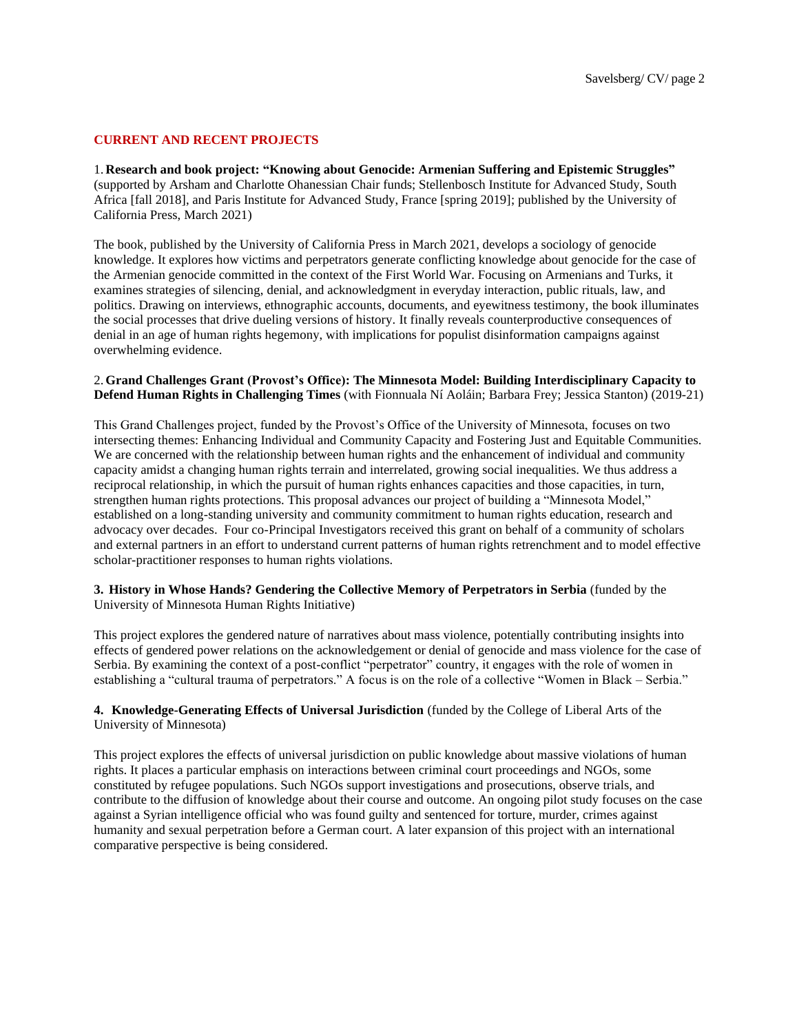# **CURRENT AND RECENT PROJECTS**

1. **Research and book project: "Knowing about Genocide: Armenian Suffering and Epistemic Struggles"** (supported by Arsham and Charlotte Ohanessian Chair funds; Stellenbosch Institute for Advanced Study, South Africa [fall 2018], and Paris Institute for Advanced Study, France [spring 2019]; published by the University of California Press, March 2021)

The book, published by the University of California Press in March 2021, develops a sociology of genocide knowledge. It explores how victims and perpetrators generate conflicting knowledge about genocide for the case of the Armenian genocide committed in the context of the First World War. Focusing on Armenians and Turks, it examines strategies of silencing, denial, and acknowledgment in everyday interaction, public rituals, law, and politics. Drawing on interviews, ethnographic accounts, documents, and eyewitness testimony, the book illuminates the social processes that drive dueling versions of history. It finally reveals counterproductive consequences of denial in an age of human rights hegemony, with implications for populist disinformation campaigns against overwhelming evidence.

#### 2.**Grand Challenges Grant (Provost's Office): The Minnesota Model: Building Interdisciplinary Capacity to Defend Human Rights in Challenging Times** (with Fionnuala Ní Aoláin; Barbara Frey; Jessica Stanton) (2019-21)

This Grand Challenges project, funded by the Provost's Office of the University of Minnesota, focuses on two intersecting themes: Enhancing Individual and Community Capacity and Fostering Just and Equitable Communities. We are concerned with the relationship between human rights and the enhancement of individual and community capacity amidst a changing human rights terrain and interrelated, growing social inequalities. We thus address a reciprocal relationship, in which the pursuit of human rights enhances capacities and those capacities, in turn, strengthen human rights protections. This proposal advances our project of building a "Minnesota Model," established on a long-standing university and community commitment to human rights education, research and advocacy over decades. Four co-Principal Investigators received this grant on behalf of a community of scholars and external partners in an effort to understand current patterns of human rights retrenchment and to model effective scholar-practitioner responses to human rights violations.

#### **3. History in Whose Hands? Gendering the Collective Memory of Perpetrators in Serbia** (funded by the University of Minnesota Human Rights Initiative)

This project explores the gendered nature of narratives about mass violence, potentially contributing insights into effects of gendered power relations on the acknowledgement or denial of genocide and mass violence for the case of Serbia. By examining the context of a post-conflict "perpetrator" country, it engages with the role of women in establishing a "cultural trauma of perpetrators." A focus is on the role of a collective "Women in Black – Serbia."

### **4. Knowledge-Generating Effects of Universal Jurisdiction** (funded by the College of Liberal Arts of the University of Minnesota)

This project explores the effects of universal jurisdiction on public knowledge about massive violations of human rights. It places a particular emphasis on interactions between criminal court proceedings and NGOs, some constituted by refugee populations. Such NGOs support investigations and prosecutions, observe trials, and contribute to the diffusion of knowledge about their course and outcome. An ongoing pilot study focuses on the case against a Syrian intelligence official who was found guilty and sentenced for torture, murder, crimes against humanity and sexual perpetration before a German court. A later expansion of this project with an international comparative perspective is being considered.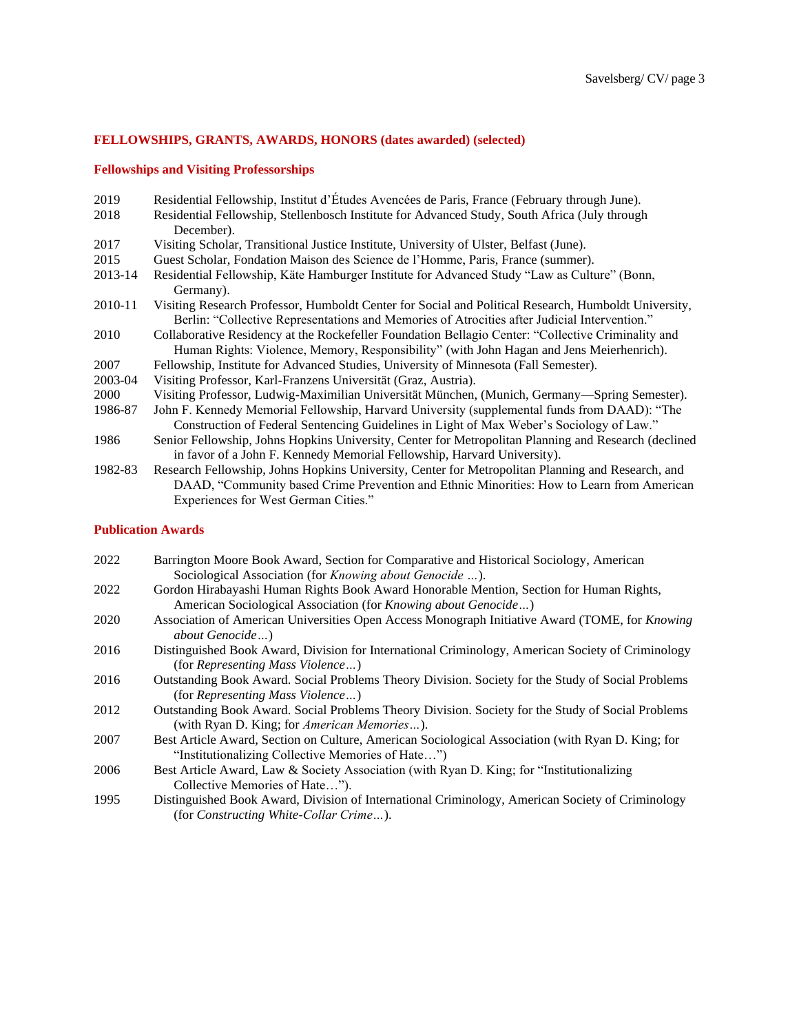# **FELLOWSHIPS, GRANTS, AWARDS, HONORS (dates awarded) (selected)**

# **Fellowships and Visiting Professorships**

| 2019    | Residential Fellowship, Institut d'Études Avencées de Paris, France (February through June).                                                                                                         |
|---------|------------------------------------------------------------------------------------------------------------------------------------------------------------------------------------------------------|
| 2018    | Residential Fellowship, Stellenbosch Institute for Advanced Study, South Africa (July through                                                                                                        |
|         | December).                                                                                                                                                                                           |
| 2017    | Visiting Scholar, Transitional Justice Institute, University of Ulster, Belfast (June).                                                                                                              |
| 2015    | Guest Scholar, Fondation Maison des Science de l'Homme, Paris, France (summer).                                                                                                                      |
| 2013-14 | Residential Fellowship, Käte Hamburger Institute for Advanced Study "Law as Culture" (Bonn,<br>Germany).                                                                                             |
| 2010-11 | Visiting Research Professor, Humboldt Center for Social and Political Research, Humboldt University,<br>Berlin: "Collective Representations and Memories of Atrocities after Judicial Intervention." |
| 2010    | Collaborative Residency at the Rockefeller Foundation Bellagio Center: "Collective Criminality and<br>Human Rights: Violence, Memory, Responsibility" (with John Hagan and Jens Meierhenrich).       |
| 2007    | Fellowship, Institute for Advanced Studies, University of Minnesota (Fall Semester).                                                                                                                 |
| 2003-04 | Visiting Professor, Karl-Franzens Universität (Graz, Austria).                                                                                                                                       |
| 2000    | Visiting Professor, Ludwig-Maximilian Universität München, (Munich, Germany—Spring Semester).                                                                                                        |
| 1986-87 | John F. Kennedy Memorial Fellowship, Harvard University (supplemental funds from DAAD): "The                                                                                                         |
|         | Construction of Federal Sentencing Guidelines in Light of Max Weber's Sociology of Law."                                                                                                             |
| 1986    | Senior Fellowship, Johns Hopkins University, Center for Metropolitan Planning and Research (declined                                                                                                 |
|         | in favor of a John F. Kennedy Memorial Fellowship, Harvard University).                                                                                                                              |
| 1982-83 | Research Fellowship, Johns Hopkins University, Center for Metropolitan Planning and Research, and                                                                                                    |
|         | DAAD, "Community based Crime Prevention and Ethnic Minorities: How to Learn from American                                                                                                            |
|         | Experiences for West German Cities."                                                                                                                                                                 |

# **Publication Awards**

| 2022 | Barrington Moore Book Award, Section for Comparative and Historical Sociology, American<br>Sociological Association (for <i>Knowing about Genocide </i> ). |
|------|------------------------------------------------------------------------------------------------------------------------------------------------------------|
| 2022 | Gordon Hirabayashi Human Rights Book Award Honorable Mention, Section for Human Rights,<br>American Sociological Association (for Knowing about Genocide)  |
| 2020 | Association of American Universities Open Access Monograph Initiative Award (TOME, for Knowing<br>about Genocide)                                          |
| 2016 | Distinguished Book Award, Division for International Criminology, American Society of Criminology<br>(for Representing Mass Violence)                      |
| 2016 | Outstanding Book Award. Social Problems Theory Division. Society for the Study of Social Problems<br>(for Representing Mass Violence)                      |
| 2012 | Outstanding Book Award. Social Problems Theory Division. Society for the Study of Social Problems<br>(with Ryan D. King; for American Memories).           |
| 2007 | Best Article Award, Section on Culture, American Sociological Association (with Ryan D. King; for<br>"Institutionalizing Collective Memories of Hate")     |
| 2006 | Best Article Award, Law & Society Association (with Ryan D. King; for "Institutionalizing<br>Collective Memories of Hate").                                |
| 1995 | Distinguished Book Award, Division of International Criminology, American Society of Criminology<br>(for Constructing White-Collar Crime).                 |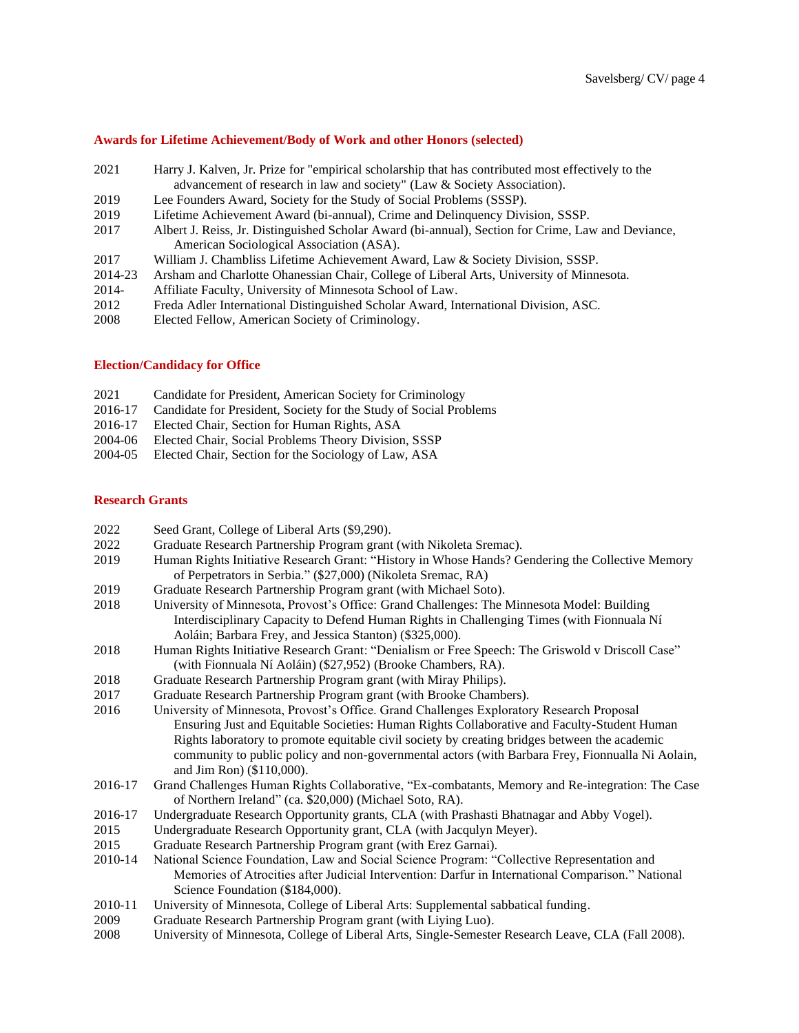#### **Awards for Lifetime Achievement/Body of Work and other Honors (selected)**

- 2021 Harry J. Kalven, Jr. Prize for "empirical scholarship that has contributed most effectively to the advancement of research in law and society" (Law & Society Association).
- 2019 Lee Founders Award, Society for the Study of Social Problems (SSSP).
- 2019 Lifetime Achievement Award (bi-annual), Crime and Delinquency Division, SSSP.
- 2017 Albert J. Reiss, Jr. Distinguished Scholar Award (bi-annual), Section for Crime, Law and Deviance, American Sociological Association (ASA).
- 2017 William J. Chambliss Lifetime Achievement Award, Law & Society Division, SSSP.
- 2014-23 Arsham and Charlotte Ohanessian Chair, College of Liberal Arts, University of Minnesota.
- 2014- Affiliate Faculty, University of Minnesota School of Law.
- 2012 Freda Adler International Distinguished Scholar Award, International Division, ASC.
- 2008 Elected Fellow, American Society of Criminology.

### **Election/Candidacy for Office**

- 2021 Candidate for President, American Society for Criminology
- 2016-17 Candidate for President, Society for the Study of Social Problems
- 2016-17 Elected Chair, Section for Human Rights, ASA
- 2004-06 Elected Chair, Social Problems Theory Division, SSSP
- 2004-05 Elected Chair, Section for the Sociology of Law, ASA

#### **Research Grants**

| 2022    | Seed Grant, College of Liberal Arts (\$9,290).                                                     |
|---------|----------------------------------------------------------------------------------------------------|
| 2022    | Graduate Research Partnership Program grant (with Nikoleta Sremac).                                |
| 2019    | Human Rights Initiative Research Grant: "History in Whose Hands? Gendering the Collective Memory   |
|         | of Perpetrators in Serbia." (\$27,000) (Nikoleta Sremac, RA)                                       |
| 2019    | Graduate Research Partnership Program grant (with Michael Soto).                                   |
| 2018    | University of Minnesota, Provost's Office: Grand Challenges: The Minnesota Model: Building         |
|         | Interdisciplinary Capacity to Defend Human Rights in Challenging Times (with Fionnuala Ní          |
|         | Aoláin; Barbara Frey, and Jessica Stanton) (\$325,000).                                            |
| 2018    | Human Rights Initiative Research Grant: "Denialism or Free Speech: The Griswold v Driscoll Case"   |
|         | (with Fionnuala Ní Aoláin) (\$27,952) (Brooke Chambers, RA).                                       |
| 2018    | Graduate Research Partnership Program grant (with Miray Philips).                                  |
| 2017    | Graduate Research Partnership Program grant (with Brooke Chambers).                                |
| 2016    | University of Minnesota, Provost's Office. Grand Challenges Exploratory Research Proposal          |
|         | Ensuring Just and Equitable Societies: Human Rights Collaborative and Faculty-Student Human        |
|         | Rights laboratory to promote equitable civil society by creating bridges between the academic      |
|         | community to public policy and non-governmental actors (with Barbara Frey, Fionnualla Ni Aolain,   |
|         | and Jim Ron) (\$110,000).                                                                          |
| 2016-17 | Grand Challenges Human Rights Collaborative, "Ex-combatants, Memory and Re-integration: The Case   |
|         | of Northern Ireland" (ca. \$20,000) (Michael Soto, RA).                                            |
| 2016-17 | Undergraduate Research Opportunity grants, CLA (with Prashasti Bhatnagar and Abby Vogel).          |
| 2015    | Undergraduate Research Opportunity grant, CLA (with Jacqulyn Meyer).                               |
| 2015    | Graduate Research Partnership Program grant (with Erez Garnai).                                    |
| 2010-14 | National Science Foundation, Law and Social Science Program: "Collective Representation and        |
|         | Memories of Atrocities after Judicial Intervention: Darfur in International Comparison." National  |
|         | Science Foundation (\$184,000).                                                                    |
| 2010-11 | University of Minnesota, College of Liberal Arts: Supplemental sabbatical funding.                 |
| 2009    | Graduate Research Partnership Program grant (with Liying Luo).                                     |
| 2008    | University of Minnesota, College of Liberal Arts, Single-Semester Research Leave, CLA (Fall 2008). |
|         |                                                                                                    |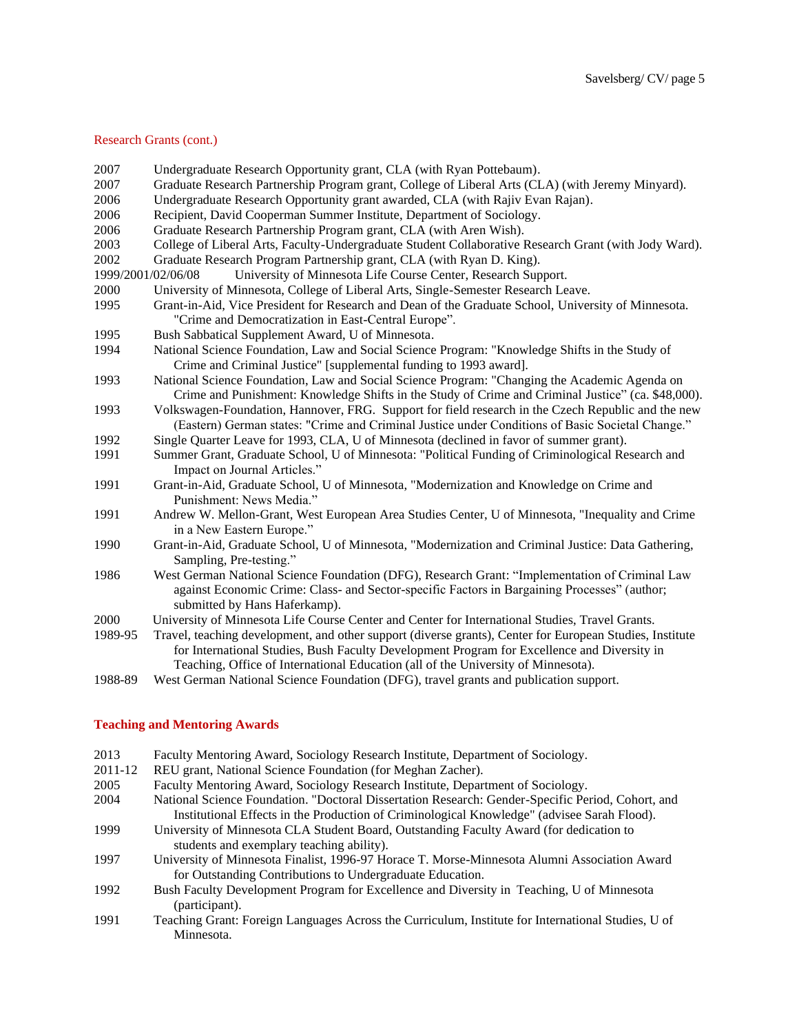#### Research Grants (cont.)

| 2007               | Undergraduate Research Opportunity grant, CLA (with Ryan Pottebaum).                                                                                                                                                                                                                         |
|--------------------|----------------------------------------------------------------------------------------------------------------------------------------------------------------------------------------------------------------------------------------------------------------------------------------------|
| 2007               | Graduate Research Partnership Program grant, College of Liberal Arts (CLA) (with Jeremy Minyard).                                                                                                                                                                                            |
| 2006               | Undergraduate Research Opportunity grant awarded, CLA (with Rajiv Evan Rajan).                                                                                                                                                                                                               |
| 2006               | Recipient, David Cooperman Summer Institute, Department of Sociology.                                                                                                                                                                                                                        |
| 2006               | Graduate Research Partnership Program grant, CLA (with Aren Wish).                                                                                                                                                                                                                           |
| 2003               | College of Liberal Arts, Faculty-Undergraduate Student Collaborative Research Grant (with Jody Ward).                                                                                                                                                                                        |
| 2002               | Graduate Research Program Partnership grant, CLA (with Ryan D. King).                                                                                                                                                                                                                        |
| 1999/2001/02/06/08 | University of Minnesota Life Course Center, Research Support.                                                                                                                                                                                                                                |
| 2000               | University of Minnesota, College of Liberal Arts, Single-Semester Research Leave.                                                                                                                                                                                                            |
| 1995               | Grant-in-Aid, Vice President for Research and Dean of the Graduate School, University of Minnesota.<br>"Crime and Democratization in East-Central Europe".                                                                                                                                   |
| 1995               | Bush Sabbatical Supplement Award, U of Minnesota.                                                                                                                                                                                                                                            |
| 1994               | National Science Foundation, Law and Social Science Program: "Knowledge Shifts in the Study of<br>Crime and Criminal Justice" [supplemental funding to 1993 award].                                                                                                                          |
| 1993               | National Science Foundation, Law and Social Science Program: "Changing the Academic Agenda on<br>Crime and Punishment: Knowledge Shifts in the Study of Crime and Criminal Justice" (ca. \$48,000).                                                                                          |
| 1993               | Volkswagen-Foundation, Hannover, FRG. Support for field research in the Czech Republic and the new<br>(Eastern) German states: "Crime and Criminal Justice under Conditions of Basic Societal Change."                                                                                       |
| 1992               | Single Quarter Leave for 1993, CLA, U of Minnesota (declined in favor of summer grant).                                                                                                                                                                                                      |
| 1991               | Summer Grant, Graduate School, U of Minnesota: "Political Funding of Criminological Research and<br>Impact on Journal Articles."                                                                                                                                                             |
| 1991               | Grant-in-Aid, Graduate School, U of Minnesota, "Modernization and Knowledge on Crime and<br>Punishment: News Media."                                                                                                                                                                         |
| 1991               | Andrew W. Mellon-Grant, West European Area Studies Center, U of Minnesota, "Inequality and Crime<br>in a New Eastern Europe."                                                                                                                                                                |
| 1990               | Grant-in-Aid, Graduate School, U of Minnesota, "Modernization and Criminal Justice: Data Gathering,<br>Sampling, Pre-testing."                                                                                                                                                               |
| 1986               | West German National Science Foundation (DFG), Research Grant: "Implementation of Criminal Law<br>against Economic Crime: Class- and Sector-specific Factors in Bargaining Processes" (author;<br>submitted by Hans Haferkamp).                                                              |
| 2000               | University of Minnesota Life Course Center and Center for International Studies, Travel Grants.                                                                                                                                                                                              |
| 1989-95            | Travel, teaching development, and other support (diverse grants), Center for European Studies, Institute<br>for International Studies, Bush Faculty Development Program for Excellence and Diversity in<br>Teaching, Office of International Education (all of the University of Minnesota). |
| 1988-89            | West German National Science Foundation (DFG), travel grants and publication support.                                                                                                                                                                                                        |

#### **Teaching and Mentoring Awards**

- 2013 Faculty Mentoring Award, Sociology Research Institute, Department of Sociology.
- 2011-12 REU grant, National Science Foundation (for Meghan Zacher).
- 2005 Faculty Mentoring Award, Sociology Research Institute, Department of Sociology.
- 2004 National Science Foundation. "Doctoral Dissertation Research: Gender-Specific Period, Cohort, and Institutional Effects in the Production of Criminological Knowledge" (advisee Sarah Flood).
- 1999 University of Minnesota CLA Student Board, Outstanding Faculty Award (for dedication to students and exemplary teaching ability).
- 1997 University of Minnesota Finalist, 1996-97 Horace T. Morse-Minnesota Alumni Association Award for Outstanding Contributions to Undergraduate Education.
- 1992 Bush Faculty Development Program for Excellence and Diversity in Teaching, U of Minnesota (participant).
- 1991 Teaching Grant: Foreign Languages Across the Curriculum, Institute for International Studies, U of Minnesota.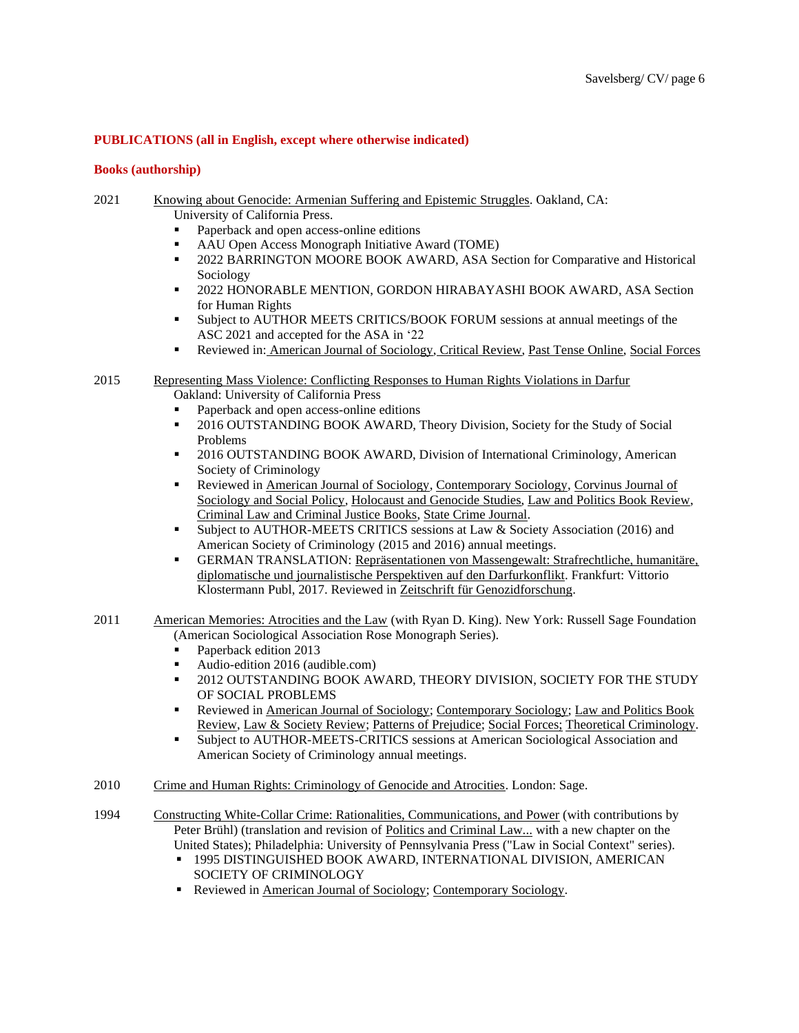# **PUBLICATIONS (all in English, except where otherwise indicated)**

#### **Books (authorship)**

- 2021 Knowing about Genocide: Armenian Suffering and Epistemic Struggles. Oakland, CA: University of California Press.
	- Paperback and open access-online editions
	- AAU Open Access Monograph Initiative Award (TOME)
	- 2022 BARRINGTON MOORE BOOK AWARD, ASA Section for Comparative and Historical Sociology
	- 2022 HONORABLE MENTION, GORDON HIRABAYASHI BOOK AWARD, ASA Section for Human Rights
	- Subject to AUTHOR MEETS CRITICS/BOOK FORUM sessions at annual meetings of the ASC 2021 and accepted for the ASA in '22
	- **•** Reviewed in: American Journal of Sociology, Critical Review, Past Tense Online, Social Forces

### 2015 Representing Mass Violence: Conflicting Responses to Human Rights Violations in Darfur Oakland: University of California Press

- Paperback and open access-online editions
- **•** 2016 OUTSTANDING BOOK AWARD, Theory Division, Society for the Study of Social Problems
- 2016 OUTSTANDING BOOK AWARD, Division of International Criminology, American Society of Criminology
- **•** Reviewed in American Journal of Sociology, Contemporary Sociology, Corvinus Journal of Sociology and Social Policy*,* Holocaust and Genocide Studies, Law and Politics Book Review, Criminal Law and Criminal Justice Books, State Crime Journal.
- Subject to AUTHOR-MEETS CRITICS sessions at Law & Society Association (2016) and American Society of Criminology (2015 and 2016) annual meetings.
- **ERMAN TRANSLATION: Repräsentationen von Massengewalt: Strafrechtliche, humanitäre,** diplomatische und journalistische Perspektiven auf den Darfurkonflikt. Frankfurt: Vittorio Klostermann Publ, 2017. Reviewed in Zeitschrift für Genozidforschung.
- 2011 American Memories: Atrocities and the Law (with Ryan D. King). New York: Russell Sage Foundation (American Sociological Association Rose Monograph Series).
	- Paperback edition 2013
	- Audio-edition 2016 (audible.com)
	- 2012 OUTSTANDING BOOK AWARD, THEORY DIVISION, SOCIETY FOR THE STUDY OF SOCIAL PROBLEMS
	- Reviewed in American Journal of Sociology; Contemporary Sociology; Law and Politics Book Review, Law & Society Review; Patterns of Prejudice; Social Forces; Theoretical Criminology.
	- Subject to AUTHOR-MEETS-CRITICS sessions at American Sociological Association and American Society of Criminology annual meetings.
- 2010 Crime and Human Rights: Criminology of Genocide and Atrocities. London: Sage.
- 1994 Constructing White-Collar Crime: Rationalities, Communications, and Power (with contributions by Peter Brühl) (translation and revision of Politics and Criminal Law... with a new chapter on the United States); Philadelphia: University of Pennsylvania Press ("Law in Social Context" series).
	- 1995 DISTINGUISHED BOOK AWARD, INTERNATIONAL DIVISION, AMERICAN SOCIETY OF CRIMINOLOGY
	- Reviewed in American Journal of Sociology; Contemporary Sociology.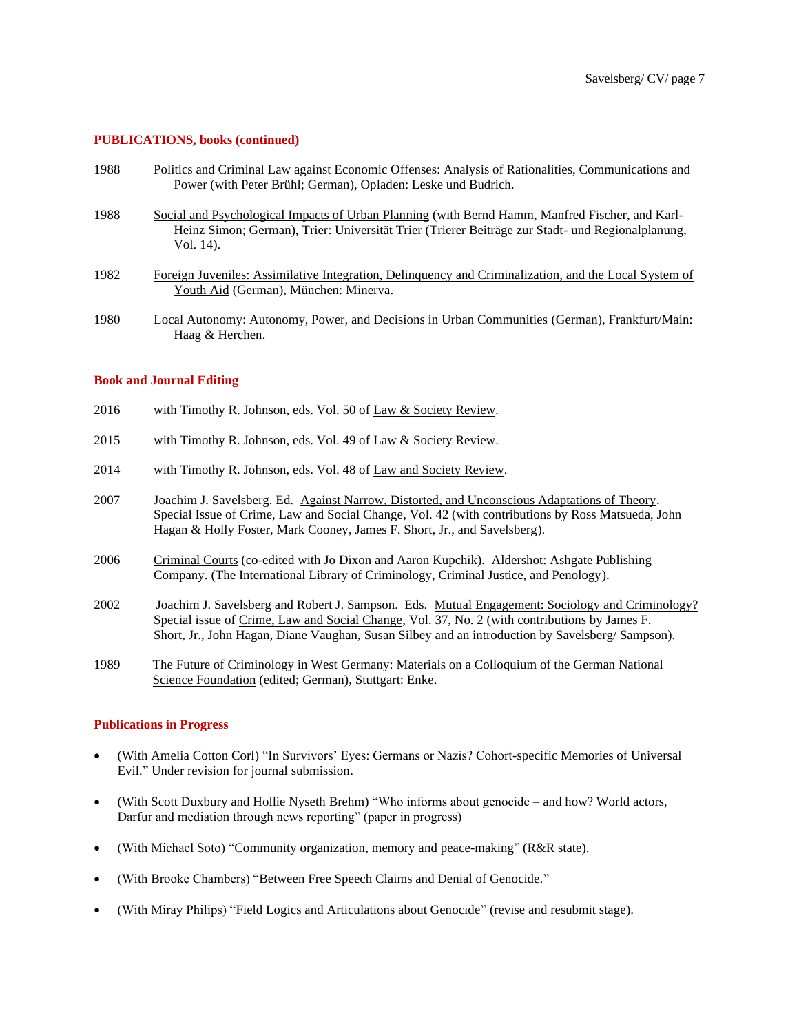# **PUBLICATIONS, books (continued)**

| 1988 | Politics and Criminal Law against Economic Offenses: Analysis of Rationalities, Communications and                                                                                                               |
|------|------------------------------------------------------------------------------------------------------------------------------------------------------------------------------------------------------------------|
|      | Power (with Peter Brühl; German), Opladen: Leske und Budrich.                                                                                                                                                    |
| 1988 | Social and Psychological Impacts of Urban Planning (with Bernd Hamm, Manfred Fischer, and Karl-<br>Heinz Simon; German), Trier: Universität Trier (Trierer Beiträge zur Stadt- und Regionalplanung,<br>Vol. 14). |
| 1982 | Foreign Juveniles: Assimilative Integration, Delinquency and Criminalization, and the Local System of<br>Youth Aid (German), München: Minerva.                                                                   |
| 1980 | Local Autonomy: Autonomy, Power, and Decisions in Urban Communities (German), Frankfurt/Main:<br>Haag & Herchen.                                                                                                 |

### **Book and Journal Editing**

- 2016 with Timothy R. Johnson, eds. Vol. 50 of Law & Society Review.
- 2015 with Timothy R. Johnson, eds. Vol. 49 of Law & Society Review.
- 2014 with Timothy R. Johnson, eds. Vol. 48 of Law and Society Review.
- 2007 Joachim J. Savelsberg. Ed. Against Narrow, Distorted, and Unconscious Adaptations of Theory. Special Issue of Crime, Law and Social Change, Vol. 42 (with contributions by Ross Matsueda, John Hagan & Holly Foster, Mark Cooney, James F. Short, Jr., and Savelsberg).
- 2006 Criminal Courts (co-edited with Jo Dixon and Aaron Kupchik). Aldershot: Ashgate Publishing Company. (The International Library of Criminology, Criminal Justice, and Penology).
- 2002 Joachim J. Savelsberg and Robert J. Sampson. Eds. Mutual Engagement: Sociology and Criminology? Special issue of Crime, Law and Social Change, Vol. 37, No. 2 (with contributions by James F. Short, Jr., John Hagan, Diane Vaughan, Susan Silbey and an introduction by Savelsberg/ Sampson).
- 1989 The Future of Criminology in West Germany: Materials on a Colloquium of the German National Science Foundation (edited; German), Stuttgart: Enke.

#### **Publications in Progress**

- (With Amelia Cotton Corl) "In Survivors' Eyes: Germans or Nazis? Cohort-specific Memories of Universal Evil." Under revision for journal submission.
- (With Scott Duxbury and Hollie Nyseth Brehm) "Who informs about genocide and how? World actors, Darfur and mediation through news reporting" (paper in progress)
- (With Michael Soto) "Community organization, memory and peace-making" (R&R state).
- (With Brooke Chambers) "Between Free Speech Claims and Denial of Genocide."
- (With Miray Philips) "Field Logics and Articulations about Genocide" (revise and resubmit stage).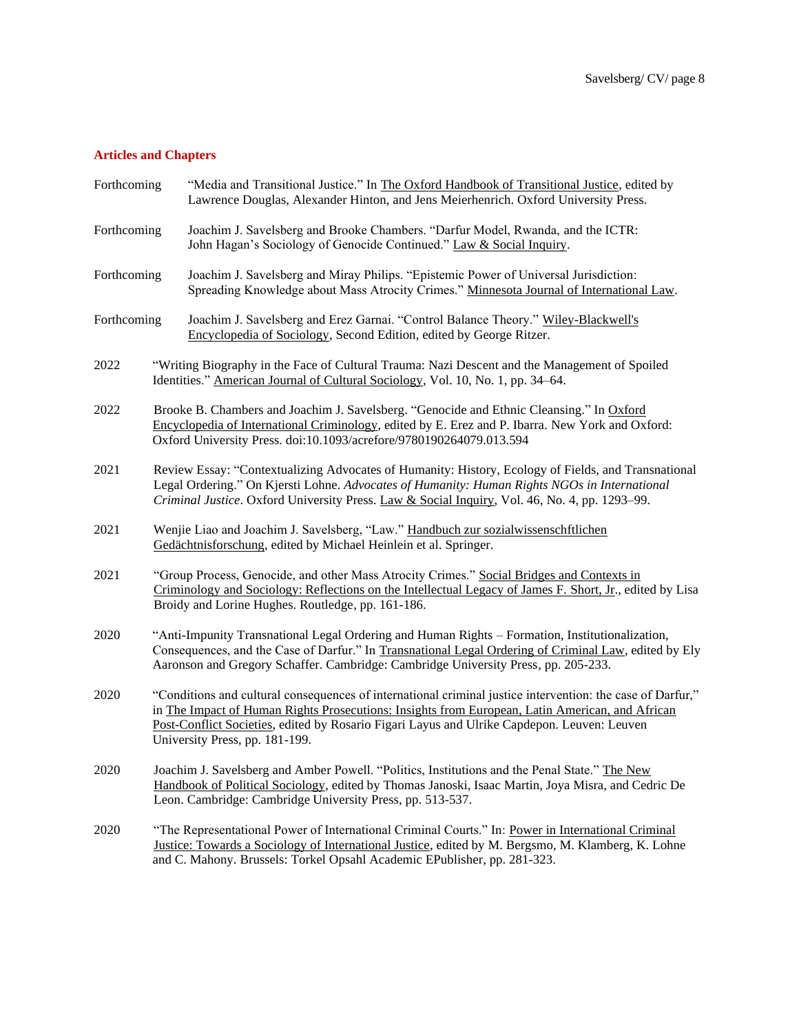#### **Articles and Chapters**

| Forthcoming | "Media and Transitional Justice." In The Oxford Handbook of Transitional Justice, edited by |
|-------------|---------------------------------------------------------------------------------------------|
|             | Lawrence Douglas, Alexander Hinton, and Jens Meierhenrich. Oxford University Press.         |

- Forthcoming Joachim J. Savelsberg and Brooke Chambers. "Darfur Model, Rwanda, and the ICTR: John Hagan's Sociology of Genocide Continued." Law & Social Inquiry.
- Forthcoming Joachim J. Savelsberg and Miray Philips. "Epistemic Power of Universal Jurisdiction: Spreading Knowledge about Mass Atrocity Crimes." Minnesota Journal of International Law.
- Forthcoming Joachim J. Savelsberg and Erez Garnai. "Control Balance Theory." Wiley-Blackwell's Encyclopedia of Sociology, Second Edition, edited by George Ritzer.
- 2022 "Writing Biography in the Face of Cultural Trauma: Nazi Descent and the Management of Spoiled Identities." American Journal of Cultural Sociology, Vol. 10, No. 1, pp. 34–64.
- 2022 Brooke B. Chambers and Joachim J. Savelsberg. "Genocide and Ethnic Cleansing." In Oxford Encyclopedia of International Criminology, edited by E. Erez and P. Ibarra. New York and Oxford: Oxford University Press. doi:10.1093/acrefore/9780190264079.013.594
- 2021 Review Essay: "Contextualizing Advocates of Humanity: History, Ecology of Fields, and Transnational Legal Ordering." On Kjersti Lohne. *Advocates of Humanity: Human Rights NGOs in International Criminal Justice*. Oxford University Press. Law & Social Inquiry, Vol. 46, No. 4, pp. 1293–99.
- 2021 Wenjie Liao and Joachim J. Savelsberg, "Law." Handbuch zur sozialwissenschftlichen Gedächtnisforschung, edited by Michael Heinlein et al. Springer.
- 2021 "Group Process, Genocide, and other Mass Atrocity Crimes." Social Bridges and Contexts in Criminology and Sociology: Reflections on the Intellectual Legacy of James F. Short, Jr., edited by Lisa Broidy and Lorine Hughes. Routledge, pp. 161-186.
- 2020 "Anti-Impunity Transnational Legal Ordering and Human Rights Formation, Institutionalization, Consequences, and the Case of Darfur." In Transnational Legal Ordering of Criminal Law, edited by Ely Aaronson and Gregory Schaffer. Cambridge: Cambridge University Press, pp. 205-233.
- 2020 "Conditions and cultural consequences of international criminal justice intervention: the case of Darfur," in The Impact of Human Rights Prosecutions: Insights from European, Latin American, and African Post-Conflict Societies, edited by Rosario Figari Layus and Ulrike Capdepon. Leuven: Leuven University Press, pp. 181-199.
- 2020 Joachim J. Savelsberg and Amber Powell. "Politics, Institutions and the Penal State." The New Handbook of Political Sociology, edited by Thomas Janoski, Isaac Martin, Joya Misra, and Cedric De Leon. Cambridge: Cambridge University Press, pp. 513-537.
- 2020 "The Representational Power of International Criminal Courts." In: Power in International Criminal Justice: Towards a Sociology of International Justice, edited by M. Bergsmo, M. Klamberg, K. Lohne and C. Mahony. Brussels: Torkel Opsahl Academic EPublisher, pp. 281-323.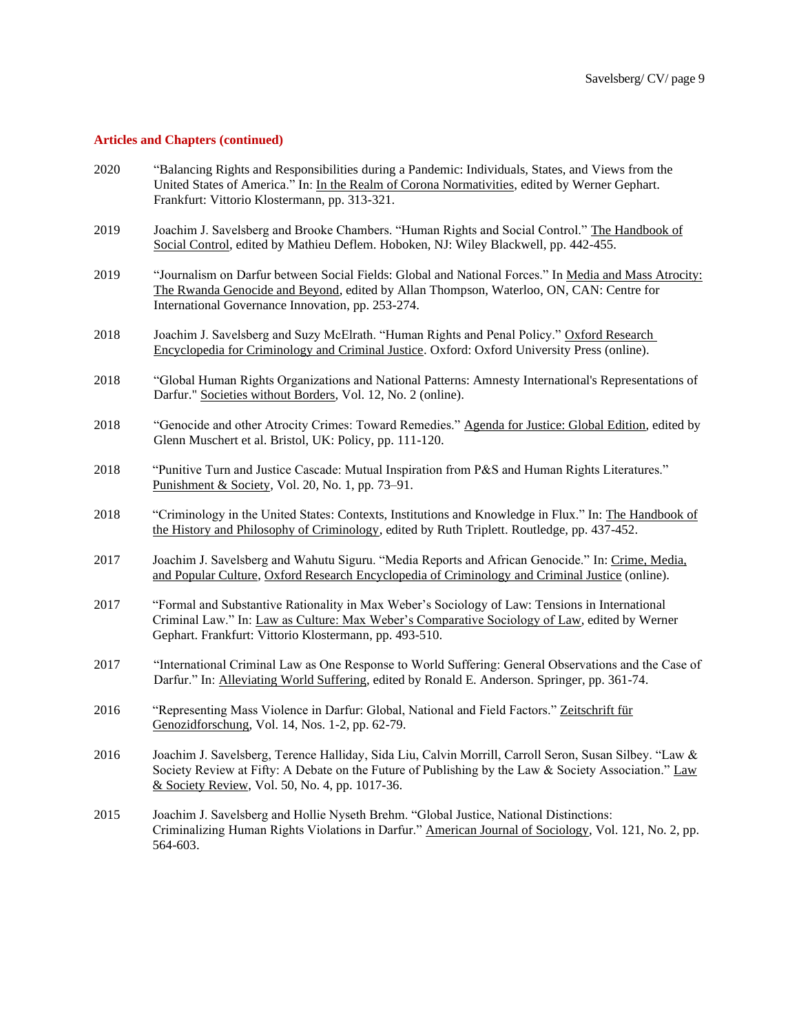- 2020 "Balancing Rights and Responsibilities during a Pandemic: Individuals, States, and Views from the United States of America." In: In the Realm of Corona Normativities, edited by Werner Gephart. Frankfurt: Vittorio Klostermann, pp. 313-321.
- 2019 Joachim J. Savelsberg and Brooke Chambers. "Human Rights and Social Control." The Handbook of Social Control, edited by Mathieu Deflem. Hoboken, NJ: Wiley Blackwell, pp. 442-455.
- 2019 "Journalism on Darfur between Social Fields: Global and National Forces." In Media and Mass Atrocity: The Rwanda Genocide and Beyond, edited by Allan Thompson, Waterloo, ON, CAN: Centre for International Governance Innovation, pp. 253-274.
- 2018 Joachim J. Savelsberg and Suzy McElrath. "Human Rights and Penal Policy." Oxford Research Encyclopedia for Criminology and Criminal Justice. Oxford: Oxford University Press (online).
- 2018 "Global Human Rights Organizations and National Patterns: Amnesty International's Representations of Darfur." Societies without Borders, Vol. 12, No. 2 (online).
- 2018 "Genocide and other Atrocity Crimes: Toward Remedies." Agenda for Justice: Global Edition, edited by Glenn Muschert et al. Bristol, UK: Policy, pp. 111-120.
- 2018 "Punitive Turn and Justice Cascade: Mutual Inspiration from P&S and Human Rights Literatures." Punishment & Society, Vol. 20, No. 1, pp. 73–91.
- 2018 "Criminology in the United States: Contexts, Institutions and Knowledge in Flux." In: The Handbook of the History and Philosophy of Criminology, edited by Ruth Triplett. Routledge, pp. 437-452.
- 2017 Joachim J. Savelsberg and Wahutu Siguru. "Media Reports and African Genocide." In: Crime, Media, and Popular Culture, Oxford Research Encyclopedia of Criminology and Criminal Justice (online).
- 2017 "Formal and Substantive Rationality in Max Weber's Sociology of Law: Tensions in International Criminal Law." In: Law as Culture: Max Weber's Comparative Sociology of Law, edited by Werner Gephart. Frankfurt: Vittorio Klostermann, pp. 493-510.
- 2017 "International Criminal Law as One Response to World Suffering: General Observations and the Case of Darfur." In: Alleviating World Suffering, edited by Ronald E. Anderson. Springer, pp. 361-74.
- 2016 "Representing Mass Violence in Darfur: Global, National and Field Factors." Zeitschrift für Genozidforschung, Vol. 14, Nos. 1-2, pp. 62-79.
- 2016 Joachim J. Savelsberg, Terence Halliday, Sida Liu, Calvin Morrill, Carroll Seron, Susan Silbey. "Law & Society Review at Fifty: A Debate on the Future of Publishing by the Law & Society Association." Law & Society Review, Vol. 50, No. 4, pp. 1017-36.
- 2015 Joachim J. Savelsberg and Hollie Nyseth Brehm. "Global Justice, National Distinctions: Criminalizing Human Rights Violations in Darfur." American Journal of Sociology, Vol. 121, No. 2, pp. 564-603.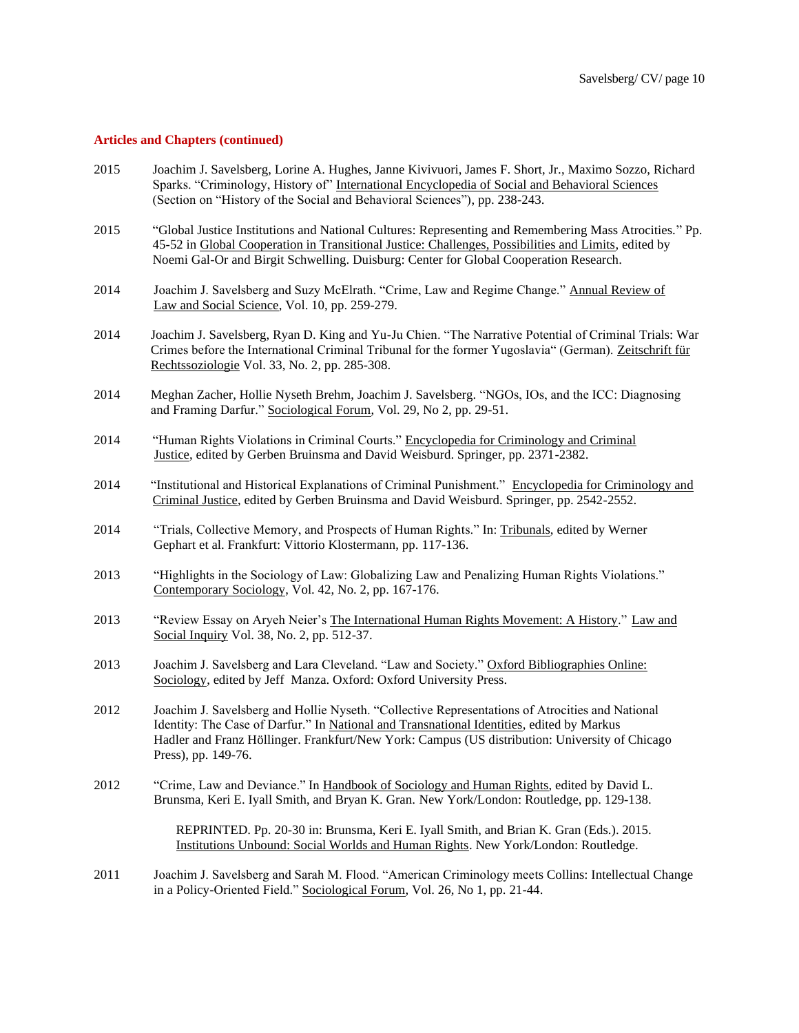- 2015 Joachim J. Savelsberg, Lorine A. Hughes, Janne Kivivuori, James F. Short, Jr., Maximo Sozzo, Richard Sparks. "Criminology, History of" International Encyclopedia of Social and Behavioral Sciences (Section on "History of the Social and Behavioral Sciences"), pp. 238-243.
- 2015 "Global Justice Institutions and National Cultures: Representing and Remembering Mass Atrocities." Pp. 45-52 in Global Cooperation in Transitional Justice: Challenges, Possibilities and Limits, edited by Noemi Gal-Or and Birgit Schwelling. Duisburg: Center for Global Cooperation Research.
- 2014 Joachim J. Savelsberg and Suzy McElrath. "Crime, Law and Regime Change." Annual Review of Law and Social Science, Vol. 10, pp. 259-279.
- 2014 Joachim J. Savelsberg, Ryan D. King and Yu-Ju Chien. "The Narrative Potential of Criminal Trials: War Crimes before the International Criminal Tribunal for the former Yugoslavia" (German). Zeitschrift für Rechtssoziologie Vol. 33, No. 2, pp. 285-308.
- 2014 Meghan Zacher, Hollie Nyseth Brehm, Joachim J. Savelsberg. "NGOs, IOs, and the ICC: Diagnosing and Framing Darfur." Sociological Forum, Vol. 29, No 2, pp. 29-51.
- 2014 "Human Rights Violations in Criminal Courts." Encyclopedia for Criminology and Criminal Justice, edited by Gerben Bruinsma and David Weisburd. Springer, pp. 2371-2382.
- 2014 "Institutional and Historical Explanations of Criminal Punishment." Encyclopedia for Criminology and Criminal Justice, edited by Gerben Bruinsma and David Weisburd. Springer, pp. 2542-2552.
- 2014 "Trials, Collective Memory, and Prospects of Human Rights." In: Tribunals, edited by Werner Gephart et al. Frankfurt: Vittorio Klostermann, pp. 117-136.
- 2013 "Highlights in the Sociology of Law: Globalizing Law and Penalizing Human Rights Violations." Contemporary Sociology, Vol. 42, No. 2, pp. 167-176.
- 2013 "Review Essay on Aryeh Neier's The International Human Rights Movement: A History." Law and Social Inquiry Vol. 38, No. 2, pp. 512-37.
- 2013 Joachim J. Savelsberg and Lara Cleveland. "Law and Society." Oxford Bibliographies Online: Sociology, edited by Jeff Manza. Oxford: Oxford University Press.
- 2012 Joachim J. Savelsberg and Hollie Nyseth. "Collective Representations of Atrocities and National Identity: The Case of Darfur." In National and Transnational Identities, edited by Markus Hadler and Franz Höllinger. Frankfurt/New York: Campus (US distribution: University of Chicago Press), pp. 149-76.
- 2012 "Crime, Law and Deviance." In Handbook of Sociology and Human Rights, edited by David L. Brunsma, Keri E. Iyall Smith, and Bryan K. Gran. New York/London: Routledge, pp. 129-138.

REPRINTED. Pp. 20-30 in: Brunsma, Keri E. Iyall Smith, and Brian K. Gran (Eds.). 2015. Institutions Unbound: Social Worlds and Human Rights. New York/London: Routledge.

2011 Joachim J. Savelsberg and Sarah M. Flood. "American Criminology meets Collins: Intellectual Change in a Policy-Oriented Field." Sociological Forum, Vol. 26, No 1, pp. 21-44.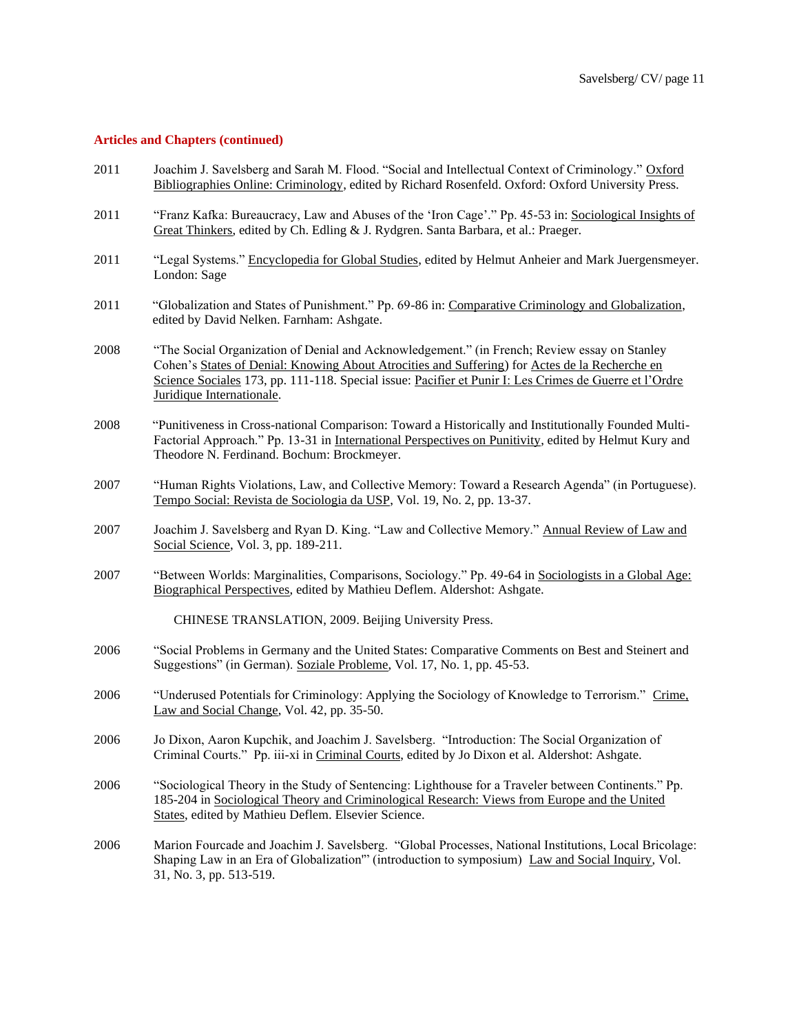- 2011 Joachim J. Savelsberg and Sarah M. Flood. "Social and Intellectual Context of Criminology." Oxford Bibliographies Online: Criminology, edited by Richard Rosenfeld. Oxford: Oxford University Press.
- 2011 "Franz Kafka: Bureaucracy, Law and Abuses of the 'Iron Cage'." Pp. 45-53 in: Sociological Insights of Great Thinkers, edited by Ch. Edling & J. Rydgren. Santa Barbara, et al.: Praeger.
- 2011 "Legal Systems." Encyclopedia for Global Studies, edited by Helmut Anheier and Mark Juergensmeyer. London: Sage
- 2011 "Globalization and States of Punishment." Pp. 69-86 in: Comparative Criminology and Globalization, edited by David Nelken. Farnham: Ashgate.
- 2008 "The Social Organization of Denial and Acknowledgement." (in French; Review essay on Stanley Cohen's States of Denial: Knowing About Atrocities and Suffering) for Actes de la Recherche en Science Sociales 173, pp. 111-118. Special issue: Pacifier et Punir I: Les Crimes de Guerre et l'Ordre Juridique Internationale.
- 2008 "Punitiveness in Cross-national Comparison: Toward a Historically and Institutionally Founded Multi-Factorial Approach." Pp. 13-31 in International Perspectives on Punitivity, edited by Helmut Kury and Theodore N. Ferdinand. Bochum: Brockmeyer.
- 2007 "Human Rights Violations, Law, and Collective Memory: Toward a Research Agenda" (in Portuguese). Tempo Social: Revista de Sociologia da USP, Vol. 19, No. 2, pp. 13-37.
- 2007 Joachim J. Savelsberg and Ryan D. King. "Law and Collective Memory." Annual Review of Law and Social Science, Vol. 3, pp. 189-211.
- 2007 "Between Worlds: Marginalities, Comparisons, Sociology." Pp. 49-64 in Sociologists in a Global Age: Biographical Perspectives, edited by Mathieu Deflem. Aldershot: Ashgate.

CHINESE TRANSLATION, 2009. Beijing University Press.

- 2006 "Social Problems in Germany and the United States: Comparative Comments on Best and Steinert and Suggestions" (in German). Soziale Probleme, Vol. 17, No. 1, pp. 45-53.
- 2006 "Underused Potentials for Criminology: Applying the Sociology of Knowledge to Terrorism." Crime, Law and Social Change, Vol. 42, pp. 35-50.
- 2006 Jo Dixon, Aaron Kupchik, and Joachim J. Savelsberg. "Introduction: The Social Organization of Criminal Courts." Pp. iii-xi in Criminal Courts, edited by Jo Dixon et al. Aldershot: Ashgate.
- 2006 "Sociological Theory in the Study of Sentencing: Lighthouse for a Traveler between Continents." Pp. 185-204 in Sociological Theory and Criminological Research: Views from Europe and the United States, edited by Mathieu Deflem. Elsevier Science.
- 2006 Marion Fourcade and Joachim J. Savelsberg. "Global Processes, National Institutions, Local Bricolage: Shaping Law in an Era of Globalization'" (introduction to symposium) Law and Social Inquiry, Vol. 31, No. 3, pp. 513-519.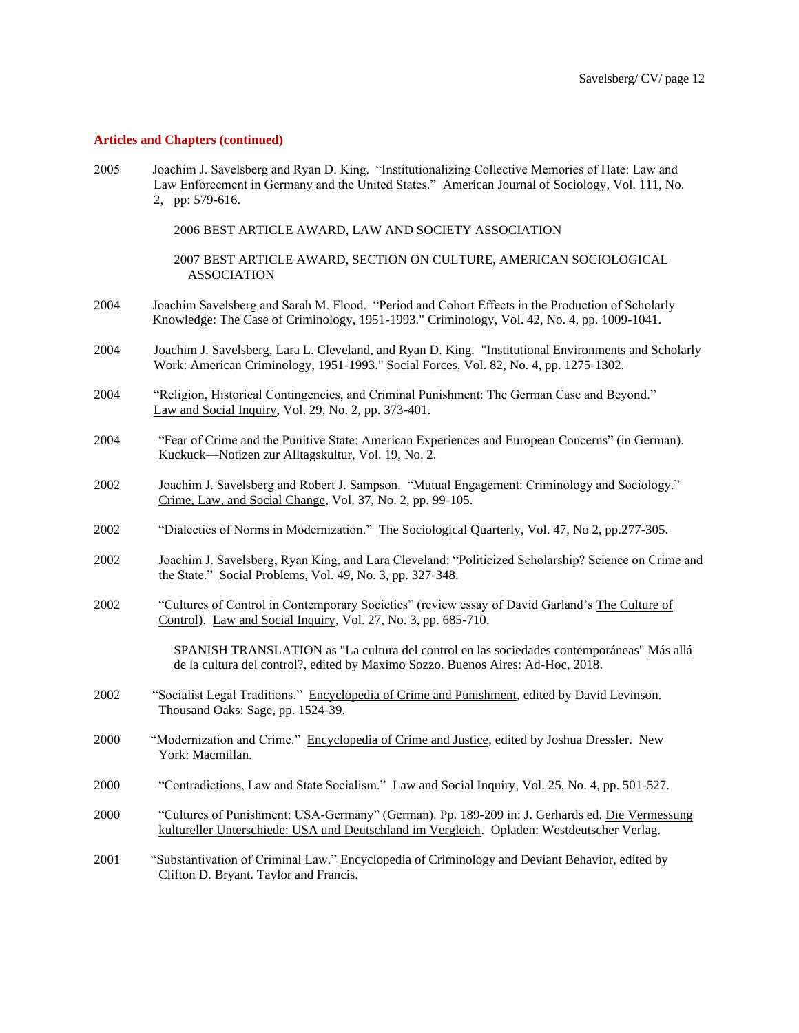2005 Joachim J. Savelsberg and Ryan D. King. "Institutionalizing Collective Memories of Hate: Law and Law Enforcement in Germany and the United States." American Journal of Sociology, Vol. 111, No. 2, pp: 579-616.

2006 BEST ARTICLE AWARD, LAW AND SOCIETY ASSOCIATION

2007 BEST ARTICLE AWARD, SECTION ON CULTURE, AMERICAN SOCIOLOGICAL ASSOCIATION

- 2004 Joachim Savelsberg and Sarah M. Flood. "Period and Cohort Effects in the Production of Scholarly Knowledge: The Case of Criminology, 1951-1993." Criminology, Vol. 42, No. 4, pp. 1009-1041.
- 2004 Joachim J. Savelsberg, Lara L. Cleveland, and Ryan D. King. "Institutional Environments and Scholarly Work: American Criminology, 1951-1993." Social Forces, Vol. 82, No. 4, pp. 1275-1302.
- 2004 "Religion, Historical Contingencies, and Criminal Punishment: The German Case and Beyond." Law and Social Inquiry, Vol. 29, No. 2, pp. 373-401.
- 2004 "Fear of Crime and the Punitive State: American Experiences and European Concerns" (in German). Kuckuck—Notizen zur Alltagskultur, Vol. 19, No. 2.
- 2002 Joachim J. Savelsberg and Robert J. Sampson. "Mutual Engagement: Criminology and Sociology." Crime, Law, and Social Change, Vol. 37, No. 2, pp. 99-105.
- 2002 "Dialectics of Norms in Modernization." The Sociological Quarterly, Vol. 47, No 2, pp.277-305.
- 2002 Joachim J. Savelsberg, Ryan King, and Lara Cleveland: "Politicized Scholarship? Science on Crime and the State." Social Problems, Vol. 49, No. 3, pp. 327-348.
- 2002 "Cultures of Control in Contemporary Societies" (review essay of David Garland's The Culture of Control). Law and Social Inquiry, Vol. 27, No. 3, pp. 685-710.

SPANISH TRANSLATION as "La cultura del control en las sociedades contemporáneas" Más allá de la cultura del control?, edited by Maximo Sozzo. Buenos Aires: Ad-Hoc, 2018.

- 2002 "Socialist Legal Traditions." Encyclopedia of Crime and Punishment, edited by David Levinson. Thousand Oaks: Sage, pp. 1524-39.
- 2000 "Modernization and Crime." Encyclopedia of Crime and Justice, edited by Joshua Dressler. New York: Macmillan.
- 2000 "Contradictions, Law and State Socialism." Law and Social Inquiry, Vol. 25, No. 4, pp. 501-527.
- 2000 "Cultures of Punishment: USA-Germany" (German). Pp. 189-209 in: J. Gerhards ed. Die Vermessung kultureller Unterschiede: USA und Deutschland im Vergleich. Opladen: Westdeutscher Verlag.
- 2001 "Substantivation of Criminal Law." Encyclopedia of Criminology and Deviant Behavior, edited by Clifton D. Bryant. Taylor and Francis.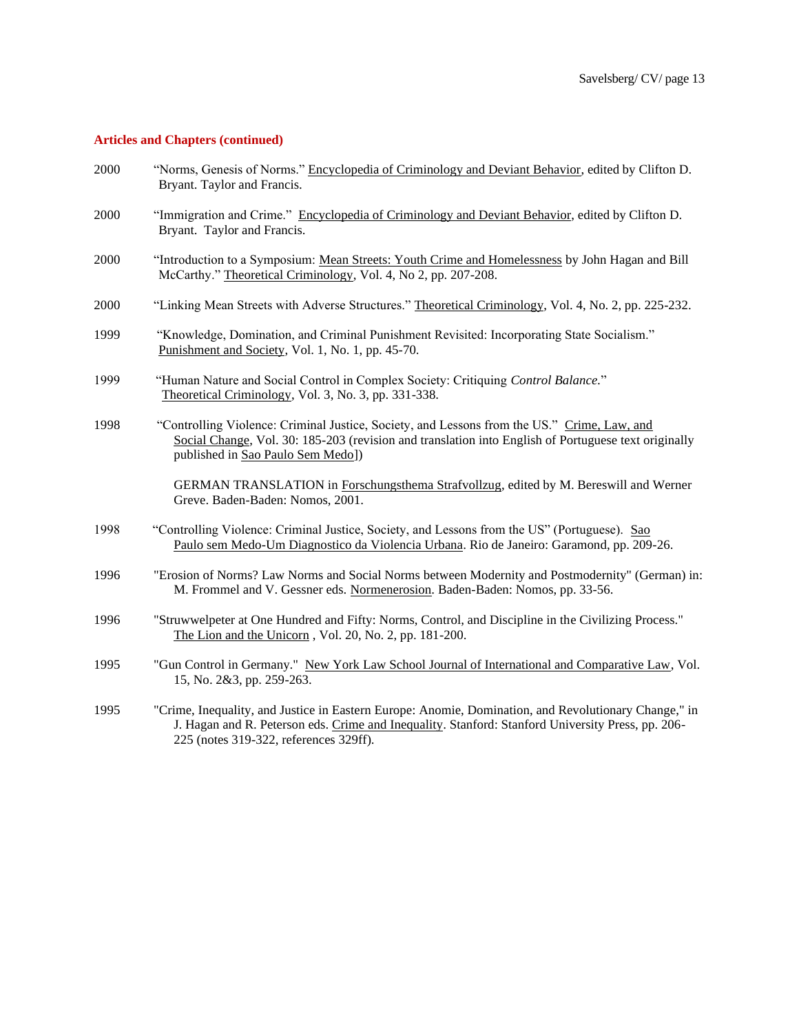- 2000 "Norms, Genesis of Norms." Encyclopedia of Criminology and Deviant Behavior, edited by Clifton D. Bryant. Taylor and Francis.
- 2000 "Immigration and Crime." Encyclopedia of Criminology and Deviant Behavior, edited by Clifton D. Bryant. Taylor and Francis.
- 2000 "Introduction to a Symposium: Mean Streets: Youth Crime and Homelessness by John Hagan and Bill McCarthy." Theoretical Criminology, Vol. 4, No 2, pp. 207-208.
- 2000 "Linking Mean Streets with Adverse Structures." Theoretical Criminology, Vol. 4, No. 2, pp. 225-232.
- 1999 "Knowledge, Domination, and Criminal Punishment Revisited: Incorporating State Socialism." Punishment and Society, Vol. 1, No. 1, pp. 45-70.
- 1999 "Human Nature and Social Control in Complex Society: Critiquing *Control Balance.*" Theoretical Criminology, Vol. 3, No. 3, pp. 331-338.
- 1998 "Controlling Violence: Criminal Justice, Society, and Lessons from the US." Crime, Law, and Social Change, Vol. 30: 185-203 (revision and translation into English of Portuguese text originally published in Sao Paulo Sem Medo])

GERMAN TRANSLATION in Forschungsthema Strafvollzug, edited by M. Bereswill and Werner Greve. Baden-Baden: Nomos, 2001.

- 1998 "Controlling Violence: Criminal Justice, Society, and Lessons from the US" (Portuguese). Sao Paulo sem Medo-Um Diagnostico da Violencia Urbana. Rio de Janeiro: Garamond, pp. 209-26.
- 1996 "Erosion of Norms? Law Norms and Social Norms between Modernity and Postmodernity" (German) in: M. Frommel and V. Gessner eds. Normenerosion. Baden-Baden: Nomos, pp. 33-56.
- 1996 "Struwwelpeter at One Hundred and Fifty: Norms, Control, and Discipline in the Civilizing Process." The Lion and the Unicorn , Vol. 20, No. 2, pp. 181-200.
- 1995 "Gun Control in Germany." New York Law School Journal of International and Comparative Law, Vol. 15, No. 2&3, pp. 259-263.
- 1995 "Crime, Inequality, and Justice in Eastern Europe: Anomie, Domination, and Revolutionary Change," in J. Hagan and R. Peterson eds. Crime and Inequality. Stanford: Stanford University Press, pp. 206- 225 (notes 319-322, references 329ff).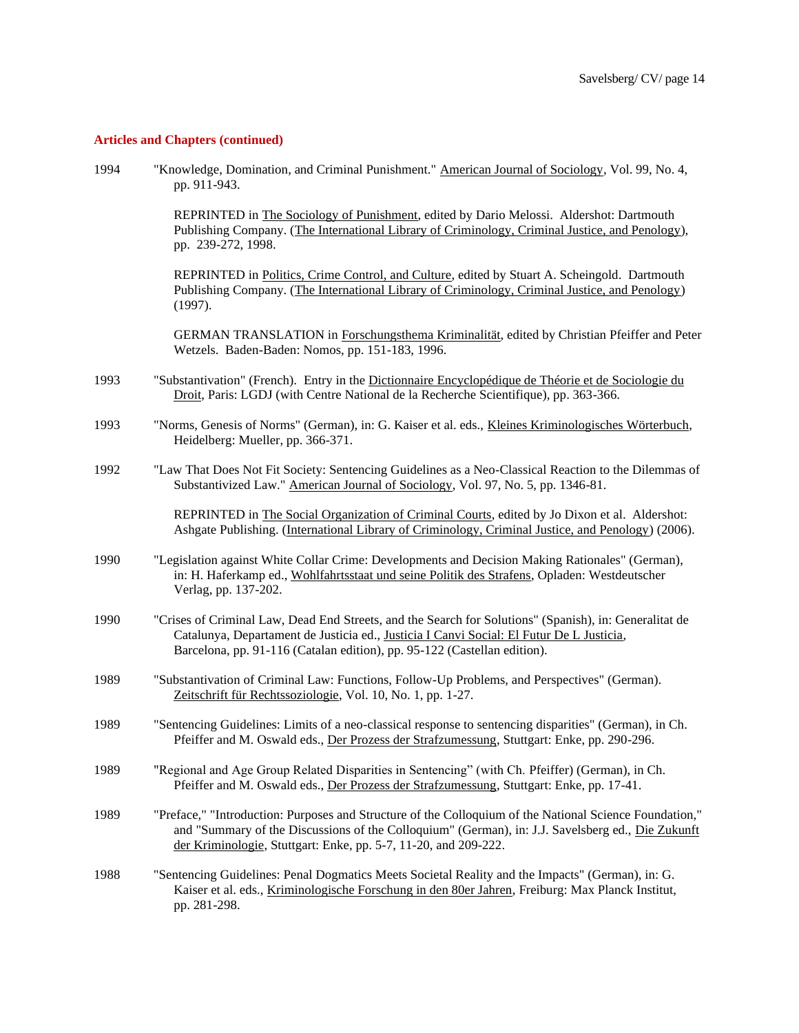| 1994 | "Knowledge, Domination, and Criminal Punishment." American Journal of Sociology, Vol. 99, No. 4,<br>pp. 911-943.                                                                                                                                                                |
|------|---------------------------------------------------------------------------------------------------------------------------------------------------------------------------------------------------------------------------------------------------------------------------------|
|      | REPRINTED in The Sociology of Punishment, edited by Dario Melossi. Aldershot: Dartmouth<br>Publishing Company. (The International Library of Criminology, Criminal Justice, and Penology),<br>pp. 239-272, 1998.                                                                |
|      | REPRINTED in Politics, Crime Control, and Culture, edited by Stuart A. Scheingold. Dartmouth<br>Publishing Company. (The International Library of Criminology, Criminal Justice, and Penology)<br>(1997).                                                                       |
|      | GERMAN TRANSLATION in Forschungsthema Kriminalität, edited by Christian Pfeiffer and Peter<br>Wetzels. Baden-Baden: Nomos, pp. 151-183, 1996.                                                                                                                                   |
| 1993 | "Substantivation" (French). Entry in the Dictionnaire Encyclopédique de Théorie et de Sociologie du<br>Droit, Paris: LGDJ (with Centre National de la Recherche Scientifique), pp. 363-366.                                                                                     |
| 1993 | "Norms, Genesis of Norms" (German), in: G. Kaiser et al. eds., Kleines Kriminologisches Wörterbuch,<br>Heidelberg: Mueller, pp. 366-371.                                                                                                                                        |
| 1992 | "Law That Does Not Fit Society: Sentencing Guidelines as a Neo-Classical Reaction to the Dilemmas of<br>Substantivized Law." American Journal of Sociology, Vol. 97, No. 5, pp. 1346-81.                                                                                        |
|      | REPRINTED in The Social Organization of Criminal Courts, edited by Jo Dixon et al. Aldershot:<br>Ashgate Publishing. (International Library of Criminology, Criminal Justice, and Penology) (2006).                                                                             |
| 1990 | "Legislation against White Collar Crime: Developments and Decision Making Rationales" (German),<br>in: H. Haferkamp ed., Wohlfahrtsstaat und seine Politik des Strafens, Opladen: Westdeutscher<br>Verlag, pp. 137-202.                                                         |
| 1990 | "Crises of Criminal Law, Dead End Streets, and the Search for Solutions" (Spanish), in: Generalitat de<br>Catalunya, Departament de Justicia ed., Justicia I Canvi Social: El Futur De L Justicia,<br>Barcelona, pp. 91-116 (Catalan edition), pp. 95-122 (Castellan edition).  |
| 1989 | "Substantivation of Criminal Law: Functions, Follow-Up Problems, and Perspectives" (German).<br>Zeitschrift für Rechtssoziologie, Vol. 10, No. 1, pp. 1-27.                                                                                                                     |
| 1989 | "Sentencing Guidelines: Limits of a neo-classical response to sentencing disparities" (German), in Ch.<br>Pfeiffer and M. Oswald eds., Der Prozess der Strafzumessung, Stuttgart: Enke, pp. 290-296.                                                                            |
| 1989 | "Regional and Age Group Related Disparities in Sentencing" (with Ch. Pfeiffer) (German), in Ch.<br>Pfeiffer and M. Oswald eds., Der Prozess der Strafzumessung, Stuttgart: Enke, pp. 17-41.                                                                                     |
| 1989 | "Preface," "Introduction: Purposes and Structure of the Colloquium of the National Science Foundation,"<br>and "Summary of the Discussions of the Colloquium" (German), in: J.J. Savelsberg ed., Die Zukunft<br>der Kriminologie, Stuttgart: Enke, pp. 5-7, 11-20, and 209-222. |
| 1988 | "Sentencing Guidelines: Penal Dogmatics Meets Societal Reality and the Impacts" (German), in: G.<br>Kaiser et al. eds., Kriminologische Forschung in den 80er Jahren, Freiburg: Max Planck Institut,<br>pp. 281-298.                                                            |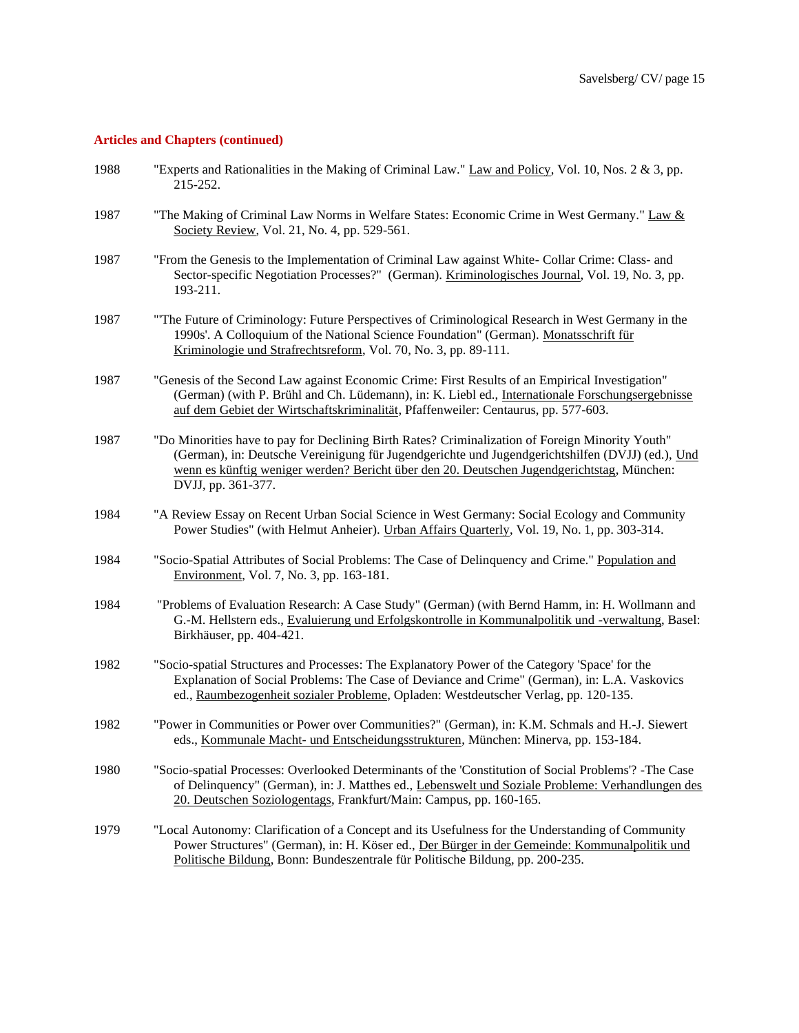| 1988 | "Experts and Rationalities in the Making of Criminal Law." Law and Policy, Vol. 10, Nos. 2 & 3, pp.<br>215-252.                                                                                                                                                                                                          |
|------|--------------------------------------------------------------------------------------------------------------------------------------------------------------------------------------------------------------------------------------------------------------------------------------------------------------------------|
| 1987 | "The Making of Criminal Law Norms in Welfare States: Economic Crime in West Germany." Law &<br>Society Review, Vol. 21, No. 4, pp. 529-561.                                                                                                                                                                              |
| 1987 | "From the Genesis to the Implementation of Criminal Law against White- Collar Crime: Class- and<br>Sector-specific Negotiation Processes?" (German). Kriminologisches Journal, Vol. 19, No. 3, pp.<br>193-211.                                                                                                           |
| 1987 | "The Future of Criminology: Future Perspectives of Criminological Research in West Germany in the<br>1990s'. A Colloquium of the National Science Foundation" (German). Monatsschrift für<br>Kriminologie und Strafrechtsreform, Vol. 70, No. 3, pp. 89-111.                                                             |
| 1987 | "Genesis of the Second Law against Economic Crime: First Results of an Empirical Investigation"<br>(German) (with P. Brühl and Ch. Lüdemann), in: K. Liebl ed., Internationale Forschungsergebnisse<br>auf dem Gebiet der Wirtschaftskriminalität, Pfaffenweiler: Centaurus, pp. 577-603.                                |
| 1987 | "Do Minorities have to pay for Declining Birth Rates? Criminalization of Foreign Minority Youth"<br>(German), in: Deutsche Vereinigung für Jugendgerichte und Jugendgerichtshilfen (DVJJ) (ed.), Und<br>wenn es künftig weniger werden? Bericht über den 20. Deutschen Jugendgerichtstag, München:<br>DVJJ, pp. 361-377. |
| 1984 | "A Review Essay on Recent Urban Social Science in West Germany: Social Ecology and Community<br>Power Studies" (with Helmut Anheier). Urban Affairs Quarterly, Vol. 19, No. 1, pp. 303-314.                                                                                                                              |
| 1984 | "Socio-Spatial Attributes of Social Problems: The Case of Delinquency and Crime." Population and<br>Environment, Vol. 7, No. 3, pp. 163-181.                                                                                                                                                                             |
| 1984 | "Problems of Evaluation Research: A Case Study" (German) (with Bernd Hamm, in: H. Wollmann and<br>G.-M. Hellstern eds., Evaluierung und Erfolgskontrolle in Kommunalpolitik und -verwaltung, Basel:<br>Birkhäuser, pp. 404-421.                                                                                          |
| 1982 | "Socio-spatial Structures and Processes: The Explanatory Power of the Category 'Space' for the<br>Explanation of Social Problems: The Case of Deviance and Crime" (German), in: L.A. Vaskovics<br>ed., Raumbezogenheit sozialer Probleme, Opladen: Westdeutscher Verlag, pp. 120-135.                                    |
| 1982 | "Power in Communities or Power over Communities?" (German), in: K.M. Schmals and H.-J. Siewert<br>eds., Kommunale Macht- und Entscheidungsstrukturen, München: Minerva, pp. 153-184.                                                                                                                                     |
| 1980 | "Socio-spatial Processes: Overlooked Determinants of the 'Constitution of Social Problems'? - The Case<br>of Delinquency" (German), in: J. Matthes ed., Lebenswelt und Soziale Probleme: Verhandlungen des<br>20. Deutschen Soziologentags, Frankfurt/Main: Campus, pp. 160-165.                                         |
| 1979 | "Local Autonomy: Clarification of a Concept and its Usefulness for the Understanding of Community<br>Power Structures" (German), in: H. Köser ed., Der Bürger in der Gemeinde: Kommunalpolitik und<br>Politische Bildung, Bonn: Bundeszentrale für Politische Bildung, pp. 200-235.                                      |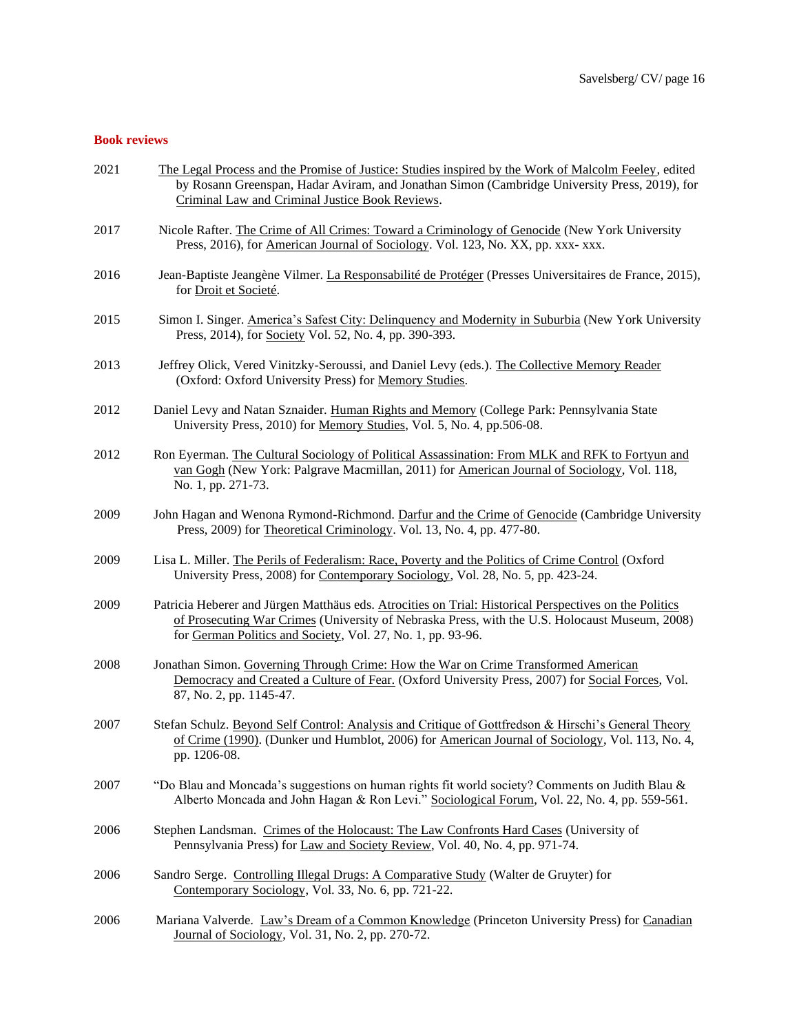# **Book reviews**

| 2021 | The Legal Process and the Promise of Justice: Studies inspired by the Work of Malcolm Feeley, edited<br>by Rosann Greenspan, Hadar Aviram, and Jonathan Simon (Cambridge University Press, 2019), for<br>Criminal Law and Criminal Justice Book Reviews.                |
|------|-------------------------------------------------------------------------------------------------------------------------------------------------------------------------------------------------------------------------------------------------------------------------|
| 2017 | Nicole Rafter. The Crime of All Crimes: Toward a Criminology of Genocide (New York University<br>Press, 2016), for American Journal of Sociology. Vol. 123, No. XX, pp. xxx- xxx.                                                                                       |
| 2016 | Jean-Baptiste Jeangène Vilmer. La Responsabilité de Protéger (Presses Universitaires de France, 2015),<br>for Droit et Societé.                                                                                                                                         |
| 2015 | Simon I. Singer. America's Safest City: Delinquency and Modernity in Suburbia (New York University<br>Press, 2014), for Society Vol. 52, No. 4, pp. 390-393.                                                                                                            |
| 2013 | Jeffrey Olick, Vered Vinitzky-Seroussi, and Daniel Levy (eds.). The Collective Memory Reader<br>(Oxford: Oxford University Press) for Memory Studies.                                                                                                                   |
| 2012 | Daniel Levy and Natan Sznaider. Human Rights and Memory (College Park: Pennsylvania State<br>University Press, 2010) for <u>Memory Studies</u> , Vol. 5, No. 4, pp.506-08.                                                                                              |
| 2012 | Ron Eyerman. The Cultural Sociology of Political Assassination: From MLK and RFK to Fortyun and<br>van Gogh (New York: Palgrave Macmillan, 2011) for American Journal of Sociology, Vol. 118,<br>No. 1, pp. 271-73.                                                     |
| 2009 | John Hagan and Wenona Rymond-Richmond. Darfur and the Crime of Genocide (Cambridge University<br>Press, 2009) for Theoretical Criminology. Vol. 13, No. 4, pp. 477-80.                                                                                                  |
| 2009 | Lisa L. Miller. The Perils of Federalism: Race, Poverty and the Politics of Crime Control (Oxford<br>University Press, 2008) for Contemporary Sociology, Vol. 28, No. 5, pp. 423-24.                                                                                    |
| 2009 | Patricia Heberer and Jürgen Matthäus eds. Atrocities on Trial: Historical Perspectives on the Politics<br>of Prosecuting War Crimes (University of Nebraska Press, with the U.S. Holocaust Museum, 2008)<br>for German Politics and Society, Vol. 27, No. 1, pp. 93-96. |
| 2008 | Jonathan Simon. Governing Through Crime: How the War on Crime Transformed American<br>Democracy and Created a Culture of Fear. (Oxford University Press, 2007) for Social Forces, Vol.<br>87, No. 2, pp. 1145-47.                                                       |
| 2007 | Stefan Schulz. Beyond Self Control: Analysis and Critique of Gottfredson & Hirschi's General Theory<br>of Crime (1990). (Dunker und Humblot, 2006) for American Journal of Sociology, Vol. 113, No. 4,<br>pp. 1206-08.                                                  |
| 2007 | "Do Blau and Moncada's suggestions on human rights fit world society? Comments on Judith Blau &<br>Alberto Moncada and John Hagan & Ron Levi." Sociological Forum, Vol. 22, No. 4, pp. 559-561.                                                                         |
| 2006 | Stephen Landsman. Crimes of the Holocaust: The Law Confronts Hard Cases (University of<br>Pennsylvania Press) for Law and Society Review, Vol. 40, No. 4, pp. 971-74.                                                                                                   |
| 2006 | Sandro Serge. Controlling Illegal Drugs: A Comparative Study (Walter de Gruyter) for<br>Contemporary Sociology, Vol. 33, No. 6, pp. 721-22.                                                                                                                             |
| 2006 | Mariana Valverde. Law's Dream of a Common Knowledge (Princeton University Press) for Canadian<br>Journal of Sociology, Vol. 31, No. 2, pp. 270-72.                                                                                                                      |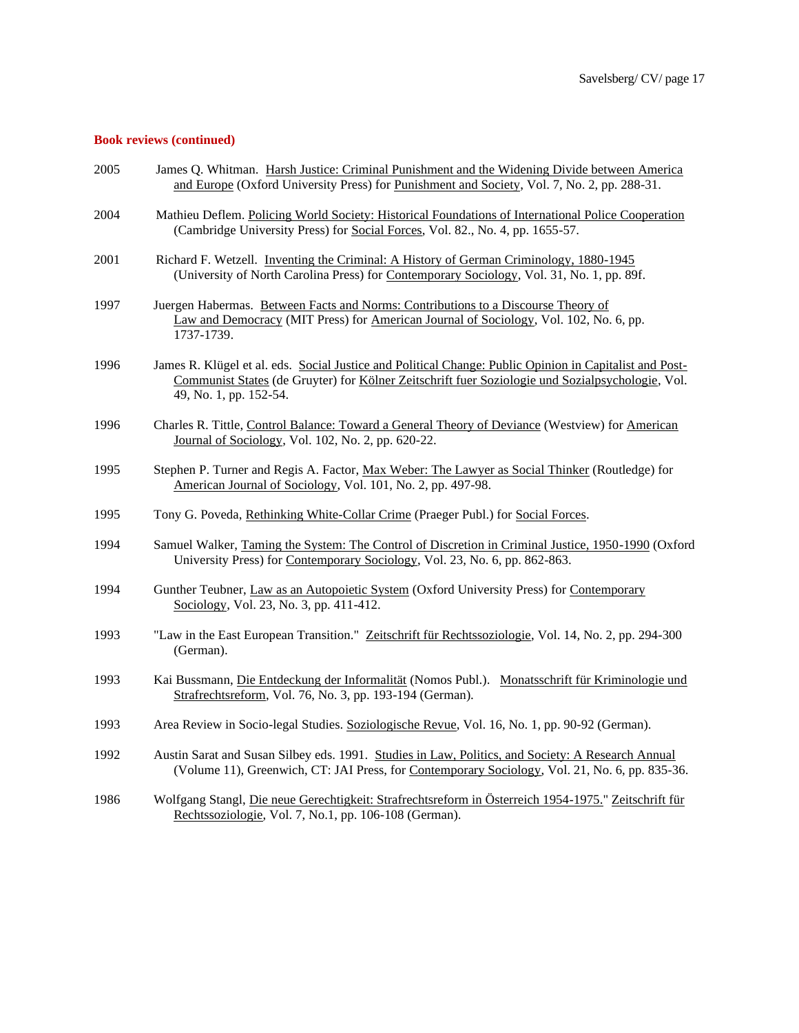# **Book reviews (continued)**

| 2005 | James Q. Whitman. Harsh Justice: Criminal Punishment and the Widening Divide between America<br>and Europe (Oxford University Press) for Punishment and Society, Vol. 7, No. 2, pp. 288-31.                                           |
|------|---------------------------------------------------------------------------------------------------------------------------------------------------------------------------------------------------------------------------------------|
| 2004 | Mathieu Deflem. Policing World Society: Historical Foundations of International Police Cooperation<br>(Cambridge University Press) for Social Forces, Vol. 82., No. 4, pp. 1655-57.                                                   |
| 2001 | Richard F. Wetzell. Inventing the Criminal: A History of German Criminology, 1880-1945<br>(University of North Carolina Press) for Contemporary Sociology, Vol. 31, No. 1, pp. 89f.                                                   |
| 1997 | Juergen Habermas. Between Facts and Norms: Contributions to a Discourse Theory of<br>Law and Democracy (MIT Press) for American Journal of Sociology, Vol. 102, No. 6, pp.<br>1737-1739.                                              |
| 1996 | James R. Klügel et al. eds. Social Justice and Political Change: Public Opinion in Capitalist and Post-<br>Communist States (de Gruyter) for Kölner Zeitschrift fuer Soziologie und Sozialpsychologie, Vol.<br>49, No. 1, pp. 152-54. |
| 1996 | Charles R. Tittle, Control Balance: Toward a General Theory of Deviance (Westview) for American<br>Journal of Sociology, Vol. 102, No. 2, pp. 620-22.                                                                                 |
| 1995 | Stephen P. Turner and Regis A. Factor, Max Weber: The Lawyer as Social Thinker (Routledge) for<br>American Journal of Sociology, Vol. 101, No. 2, pp. 497-98.                                                                         |
| 1995 | Tony G. Poveda, Rethinking White-Collar Crime (Praeger Publ.) for Social Forces.                                                                                                                                                      |
| 1994 | Samuel Walker, Taming the System: The Control of Discretion in Criminal Justice, 1950-1990 (Oxford<br>University Press) for Contemporary Sociology, Vol. 23, No. 6, pp. 862-863.                                                      |
| 1994 | Gunther Teubner, Law as an Autopoietic System (Oxford University Press) for Contemporary<br>Sociology, Vol. 23, No. 3, pp. 411-412.                                                                                                   |
| 1993 | "Law in the East European Transition." Zeitschrift für Rechtssoziologie, Vol. 14, No. 2, pp. 294-300<br>(German).                                                                                                                     |
| 1993 | Kai Bussmann, Die Entdeckung der Informalität (Nomos Publ.). Monatsschrift für Kriminologie und<br>Strafrechtsreform, Vol. 76, No. 3, pp. 193-194 (German).                                                                           |
| 1993 | Area Review in Socio-legal Studies. Soziologische Revue, Vol. 16, No. 1, pp. 90-92 (German).                                                                                                                                          |
| 1992 | Austin Sarat and Susan Silbey eds. 1991. Studies in Law, Politics, and Society: A Research Annual<br>(Volume 11), Greenwich, CT: JAI Press, for Contemporary Sociology, Vol. 21, No. 6, pp. 835-36.                                   |
| 1986 | Wolfgang Stangl, Die neue Gerechtigkeit: Strafrechtsreform in Österreich 1954-1975." Zeitschrift für<br>Rechtssoziologie, Vol. 7, No.1, pp. 106-108 (German).                                                                         |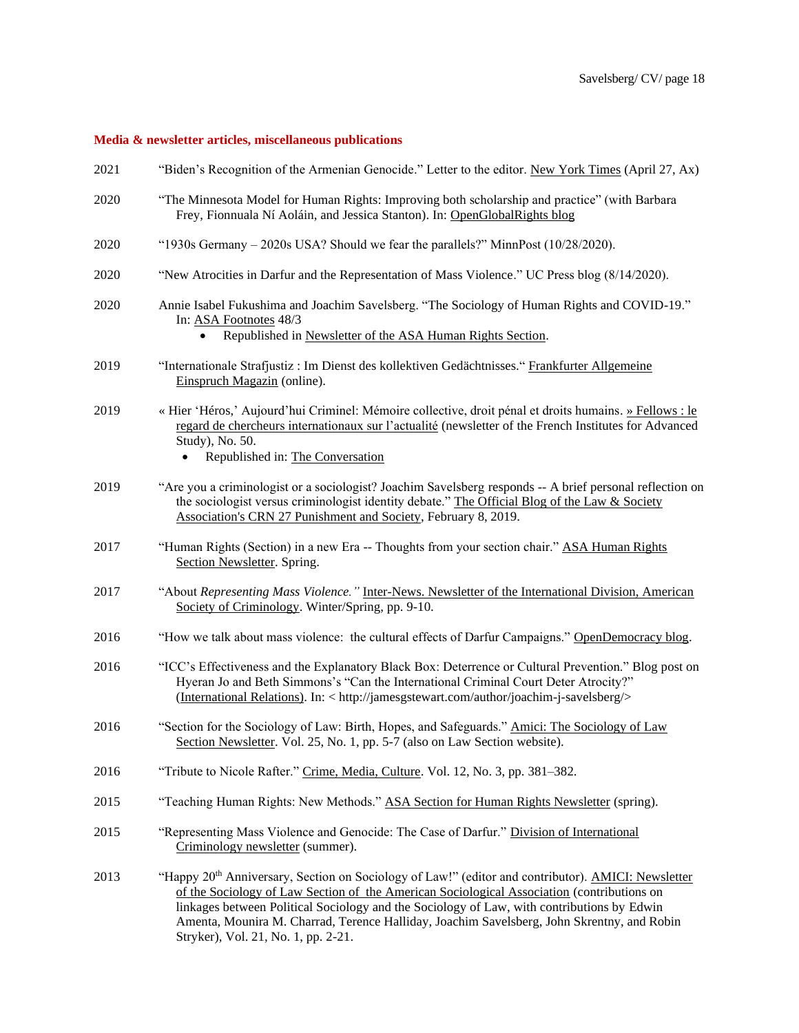# **Media & newsletter articles, miscellaneous publications**

| 2021 | "Biden's Recognition of the Armenian Genocide." Letter to the editor. New York Times (April 27, Ax)                                                                                                                                                                                                                                                                                                                                 |
|------|-------------------------------------------------------------------------------------------------------------------------------------------------------------------------------------------------------------------------------------------------------------------------------------------------------------------------------------------------------------------------------------------------------------------------------------|
| 2020 | "The Minnesota Model for Human Rights: Improving both scholarship and practice" (with Barbara<br>Frey, Fionnuala Ní Aoláin, and Jessica Stanton). In: OpenGlobalRights blog                                                                                                                                                                                                                                                         |
| 2020 | "1930s Germany $-2020s$ USA? Should we fear the parallels?" MinnPost $(10/28/2020)$ .                                                                                                                                                                                                                                                                                                                                               |
| 2020 | "New Atrocities in Darfur and the Representation of Mass Violence." UC Press blog (8/14/2020).                                                                                                                                                                                                                                                                                                                                      |
| 2020 | Annie Isabel Fukushima and Joachim Savelsberg. "The Sociology of Human Rights and COVID-19."<br>In: ASA Footnotes 48/3<br>Republished in Newsletter of the ASA Human Rights Section.<br>$\bullet$                                                                                                                                                                                                                                   |
| 2019 | "Internationale Strafjustiz : Im Dienst des kollektiven Gedächtnisses." Frankfurter Allgemeine<br>Einspruch Magazin (online).                                                                                                                                                                                                                                                                                                       |
| 2019 | « Hier 'Héros,' Aujourd'hui Criminel: Mémoire collective, droit pénal et droits humains. » Fellows : le<br>regard de chercheurs internationaux sur l'actualité (newsletter of the French Institutes for Advanced<br>Study), No. 50.<br>Republished in: The Conversation<br>$\bullet$                                                                                                                                                |
| 2019 | "Are you a criminologist or a sociologist? Joachim Savelsberg responds -- A brief personal reflection on<br>the sociologist versus criminologist identity debate." The Official Blog of the Law & Society<br>Association's CRN 27 Punishment and Society, February 8, 2019.                                                                                                                                                         |
| 2017 | "Human Rights (Section) in a new Era -- Thoughts from your section chair." ASA Human Rights<br>Section Newsletter. Spring.                                                                                                                                                                                                                                                                                                          |
| 2017 | "About Representing Mass Violence." Inter-News. Newsletter of the International Division, American<br>Society of Criminology. Winter/Spring, pp. 9-10.                                                                                                                                                                                                                                                                              |
| 2016 | "How we talk about mass violence: the cultural effects of Darfur Campaigns." OpenDemocracy blog.                                                                                                                                                                                                                                                                                                                                    |
| 2016 | "ICC's Effectiveness and the Explanatory Black Box: Deterrence or Cultural Prevention." Blog post on<br>Hyeran Jo and Beth Simmons's "Can the International Criminal Court Deter Atrocity?"<br>(International Relations). In: < http://jamesgstewart.com/author/joachim-j-savelsberg/>                                                                                                                                              |
| 2016 | "Section for the Sociology of Law: Birth, Hopes, and Safeguards." Amici: The Sociology of Law<br>Section Newsletter. Vol. 25, No. 1, pp. 5-7 (also on Law Section website).                                                                                                                                                                                                                                                         |
| 2016 | "Tribute to Nicole Rafter." Crime, Media, Culture. Vol. 12, No. 3, pp. 381–382.                                                                                                                                                                                                                                                                                                                                                     |
| 2015 | "Teaching Human Rights: New Methods." ASA Section for Human Rights Newsletter (spring).                                                                                                                                                                                                                                                                                                                                             |
| 2015 | "Representing Mass Violence and Genocide: The Case of Darfur." Division of International<br>Criminology newsletter (summer).                                                                                                                                                                                                                                                                                                        |
| 2013 | "Happy 20th Anniversary, Section on Sociology of Law!" (editor and contributor). AMICI: Newsletter<br>of the Sociology of Law Section of the American Sociological Association (contributions on<br>linkages between Political Sociology and the Sociology of Law, with contributions by Edwin<br>Amenta, Mounira M. Charrad, Terence Halliday, Joachim Savelsberg, John Skrentny, and Robin<br>Stryker), Vol. 21, No. 1, pp. 2-21. |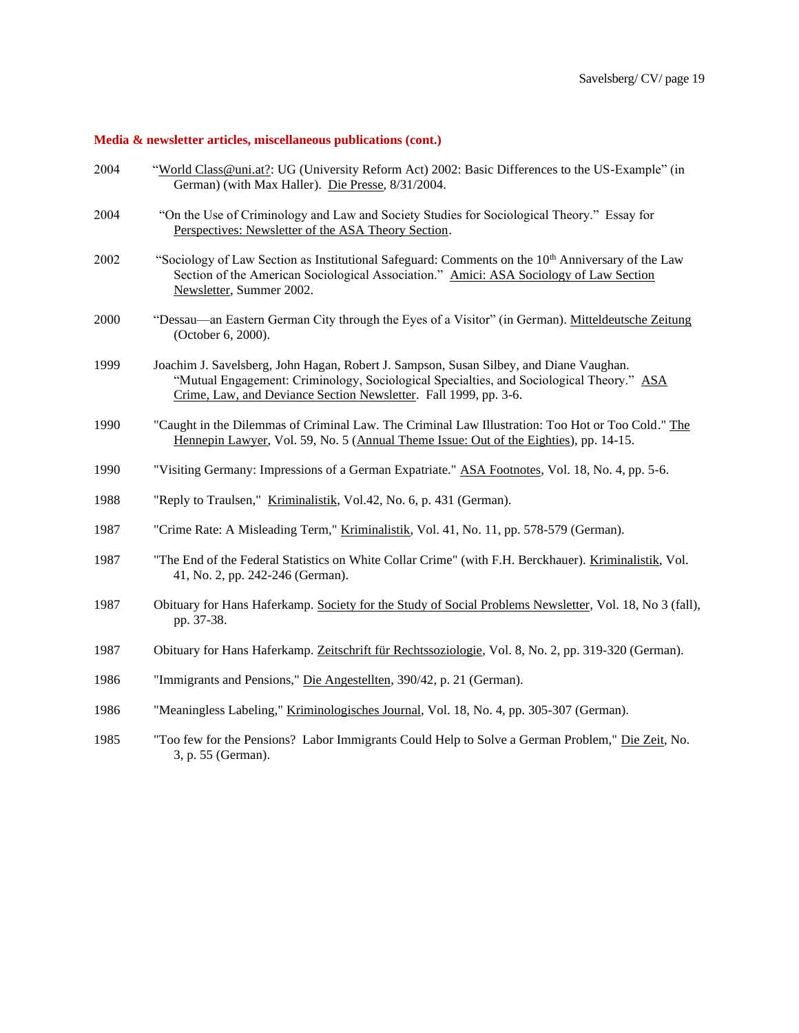# **Media & newsletter articles, miscellaneous publications (cont.)**

| 2004 | "World Class@uni.at?: UG (University Reform Act) 2002: Basic Differences to the US-Example" (in<br>German) (with Max Haller). Die Presse, 8/31/2004.                                                                                                   |
|------|--------------------------------------------------------------------------------------------------------------------------------------------------------------------------------------------------------------------------------------------------------|
| 2004 | "On the Use of Criminology and Law and Society Studies for Sociological Theory." Essay for<br>Perspectives: Newsletter of the ASA Theory Section.                                                                                                      |
| 2002 | "Sociology of Law Section as Institutional Safeguard: Comments on the 10 <sup>th</sup> Anniversary of the Law<br>Section of the American Sociological Association." Amici: ASA Sociology of Law Section<br>Newsletter, Summer 2002.                    |
| 2000 | "Dessau—an Eastern German City through the Eyes of a Visitor" (in German). Mitteldeutsche Zeitung<br>(October 6, 2000).                                                                                                                                |
| 1999 | Joachim J. Savelsberg, John Hagan, Robert J. Sampson, Susan Silbey, and Diane Vaughan.<br>"Mutual Engagement: Criminology, Sociological Specialties, and Sociological Theory." ASA<br>Crime, Law, and Deviance Section Newsletter. Fall 1999, pp. 3-6. |
| 1990 | "Caught in the Dilemmas of Criminal Law. The Criminal Law Illustration: Too Hot or Too Cold." The<br>Hennepin Lawyer, Vol. 59, No. 5 (Annual Theme Issue: Out of the Eighties), pp. 14-15.                                                             |
| 1990 | "Visiting Germany: Impressions of a German Expatriate." ASA Footnotes, Vol. 18, No. 4, pp. 5-6.                                                                                                                                                        |
| 1988 | "Reply to Traulsen," Kriminalistik, Vol.42, No. 6, p. 431 (German).                                                                                                                                                                                    |
| 1987 | "Crime Rate: A Misleading Term," Kriminalistik, Vol. 41, No. 11, pp. 578-579 (German).                                                                                                                                                                 |
| 1987 | "The End of the Federal Statistics on White Collar Crime" (with F.H. Berckhauer). Kriminalistik, Vol.<br>41, No. 2, pp. 242-246 (German).                                                                                                              |
| 1987 | Obituary for Hans Haferkamp. Society for the Study of Social Problems Newsletter, Vol. 18, No 3 (fall),<br>pp. 37-38.                                                                                                                                  |
| 1987 | Obituary for Hans Haferkamp. Zeitschrift für Rechtssoziologie, Vol. 8, No. 2, pp. 319-320 (German).                                                                                                                                                    |
| 1986 | "Immigrants and Pensions," Die Angestellten, 390/42, p. 21 (German).                                                                                                                                                                                   |
| 1986 | "Meaningless Labeling," Kriminologisches Journal, Vol. 18, No. 4, pp. 305-307 (German).                                                                                                                                                                |
| 1985 | "Too few for the Pensions? Labor Immigrants Could Help to Solve a German Problem," Die Zeit, No.<br>3, p. 55 (German).                                                                                                                                 |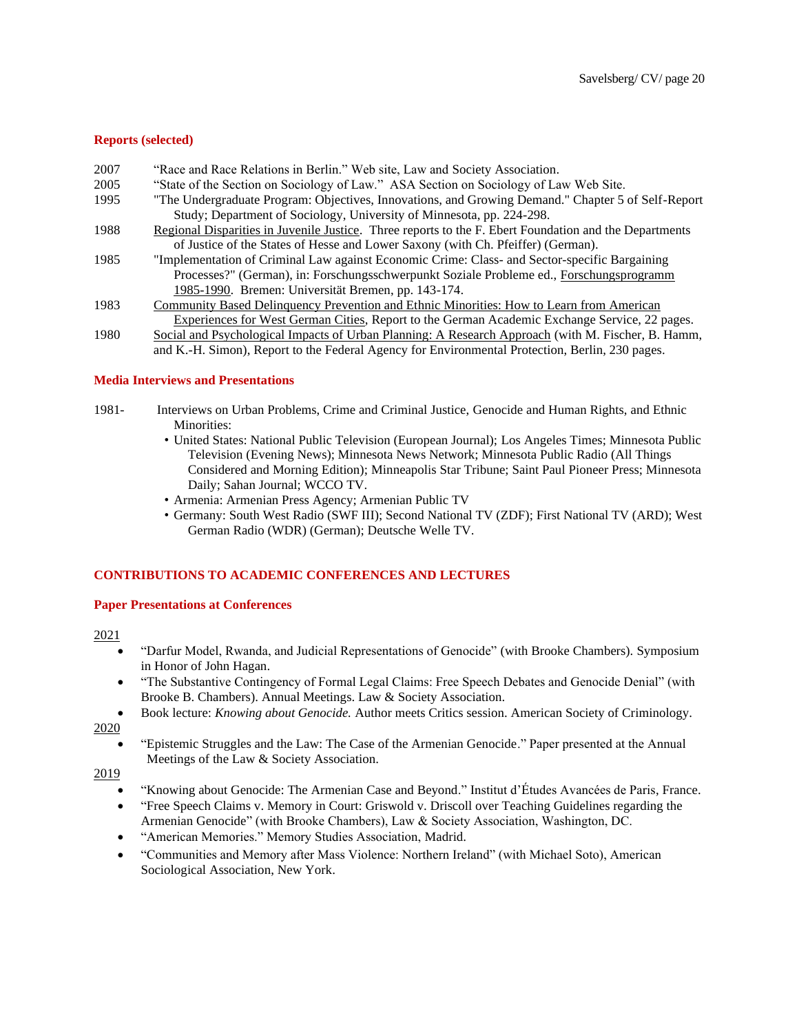# **Reports (selected)**

- 2007 "Race and Race Relations in Berlin." Web site, Law and Society Association.
- 2005 "State of the Section on Sociology of Law." ASA Section on Sociology of Law Web Site.
- 1995 "The Undergraduate Program: Objectives, Innovations, and Growing Demand." Chapter 5 of Self-Report Study; Department of Sociology, University of Minnesota, pp. 224-298.
- 1988 Regional Disparities in Juvenile Justice. Three reports to the F. Ebert Foundation and the Departments of Justice of the States of Hesse and Lower Saxony (with Ch. Pfeiffer) (German).
- 1985 "Implementation of Criminal Law against Economic Crime: Class- and Sector-specific Bargaining Processes?" (German), in: Forschungsschwerpunkt Soziale Probleme ed., Forschungsprogramm 1985-1990. Bremen: Universität Bremen, pp. 143-174.
- 1983 Community Based Delinquency Prevention and Ethnic Minorities: How to Learn from American Experiences for West German Cities, Report to the German Academic Exchange Service, 22 pages.
- 1980 Social and Psychological Impacts of Urban Planning: A Research Approach (with M. Fischer, B. Hamm, and K.-H. Simon), Report to the Federal Agency for Environmental Protection, Berlin, 230 pages.

# **Media Interviews and Presentations**

- 1981- Interviews on Urban Problems, Crime and Criminal Justice, Genocide and Human Rights, and Ethnic Minorities:
	- United States: National Public Television (European Journal); Los Angeles Times; Minnesota Public Television (Evening News); Minnesota News Network; Minnesota Public Radio (All Things Considered and Morning Edition); Minneapolis Star Tribune; Saint Paul Pioneer Press; Minnesota Daily; Sahan Journal; WCCO TV.
	- Armenia: Armenian Press Agency; Armenian Public TV
	- Germany: South West Radio (SWF III); Second National TV (ZDF); First National TV (ARD); West German Radio (WDR) (German); Deutsche Welle TV.

# **CONTRIBUTIONS TO ACADEMIC CONFERENCES AND LECTURES**

#### **Paper Presentations at Conferences**

2021

- "Darfur Model, Rwanda, and Judicial Representations of Genocide" (with Brooke Chambers). Symposium in Honor of John Hagan.
- "The Substantive Contingency of Formal Legal Claims: Free Speech Debates and Genocide Denial" (with Brooke B. Chambers). Annual Meetings. Law & Society Association.
- Book lecture: *Knowing about Genocide.* Author meets Critics session. American Society of Criminology. 2020
	- "Epistemic Struggles and the Law: The Case of the Armenian Genocide." Paper presented at the Annual Meetings of the Law & Society Association.

- "Knowing about Genocide: The Armenian Case and Beyond." Institut d'Études Avancées de Paris, France.
- "Free Speech Claims v. Memory in Court: Griswold v. Driscoll over Teaching Guidelines regarding the Armenian Genocide" (with Brooke Chambers), Law & Society Association, Washington, DC.
- "American Memories." Memory Studies Association, Madrid.
- "Communities and Memory after Mass Violence: Northern Ireland" (with Michael Soto), American Sociological Association, New York.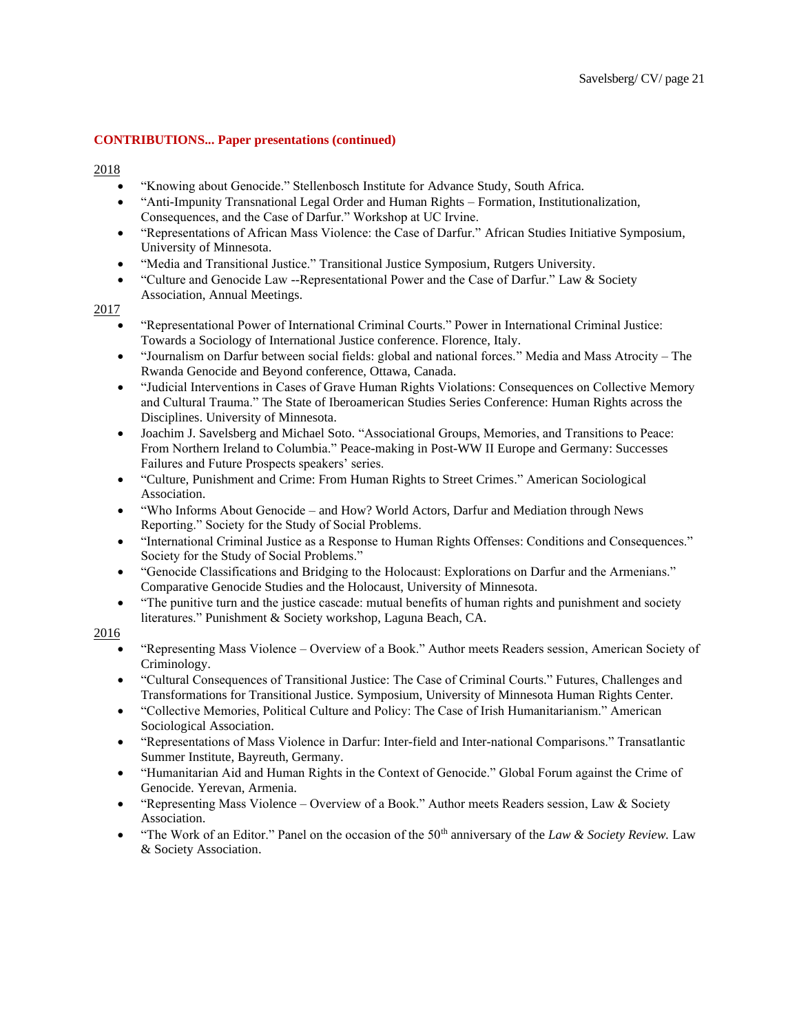- 2018
	- "Knowing about Genocide." Stellenbosch Institute for Advance Study, South Africa.
	- "Anti-Impunity Transnational Legal Order and Human Rights Formation, Institutionalization, Consequences, and the Case of Darfur." Workshop at UC Irvine.
	- "Representations of African Mass Violence: the Case of Darfur." African Studies Initiative Symposium, University of Minnesota.
	- "Media and Transitional Justice." Transitional Justice Symposium, Rutgers University.
	- "Culture and Genocide Law --Representational Power and the Case of Darfur." Law & Society Association, Annual Meetings.

### 2017

- "Representational Power of International Criminal Courts." Power in International Criminal Justice: Towards a Sociology of International Justice conference. Florence, Italy.
- "Journalism on Darfur between social fields: global and national forces." Media and Mass Atrocity The Rwanda Genocide and Beyond conference, Ottawa, Canada.
- "Judicial Interventions in Cases of Grave Human Rights Violations: Consequences on Collective Memory and Cultural Trauma." The State of Iberoamerican Studies Series Conference: Human Rights across the Disciplines. University of Minnesota.
- Joachim J. Savelsberg and Michael Soto. "Associational Groups, Memories, and Transitions to Peace: From Northern Ireland to Columbia." Peace-making in Post-WW II Europe and Germany: Successes Failures and Future Prospects speakers' series.
- "Culture, Punishment and Crime: From Human Rights to Street Crimes." American Sociological Association.
- "Who Informs About Genocide and How? World Actors, Darfur and Mediation through News Reporting." Society for the Study of Social Problems.
- "International Criminal Justice as a Response to Human Rights Offenses: Conditions and Consequences." Society for the Study of Social Problems."
- "Genocide Classifications and Bridging to the Holocaust: Explorations on Darfur and the Armenians." Comparative Genocide Studies and the Holocaust, University of Minnesota.
- "The punitive turn and the justice cascade: mutual benefits of human rights and punishment and society literatures." Punishment & Society workshop, Laguna Beach, CA.

- "Representing Mass Violence Overview of a Book." Author meets Readers session, American Society of Criminology.
- "Cultural Consequences of Transitional Justice: The Case of Criminal Courts." Futures, Challenges and Transformations for Transitional Justice. Symposium, University of Minnesota Human Rights Center.
- "Collective Memories, Political Culture and Policy: The Case of Irish Humanitarianism." American Sociological Association.
- "Representations of Mass Violence in Darfur: Inter-field and Inter-national Comparisons." Transatlantic Summer Institute, Bayreuth, Germany.
- "Humanitarian Aid and Human Rights in the Context of Genocide." Global Forum against the Crime of Genocide. Yerevan, Armenia.
- "Representing Mass Violence Overview of a Book." Author meets Readers session, Law & Society Association.
- "The Work of an Editor." Panel on the occasion of the 50<sup>th</sup> anniversary of the *Law & Society Review*. Law & Society Association.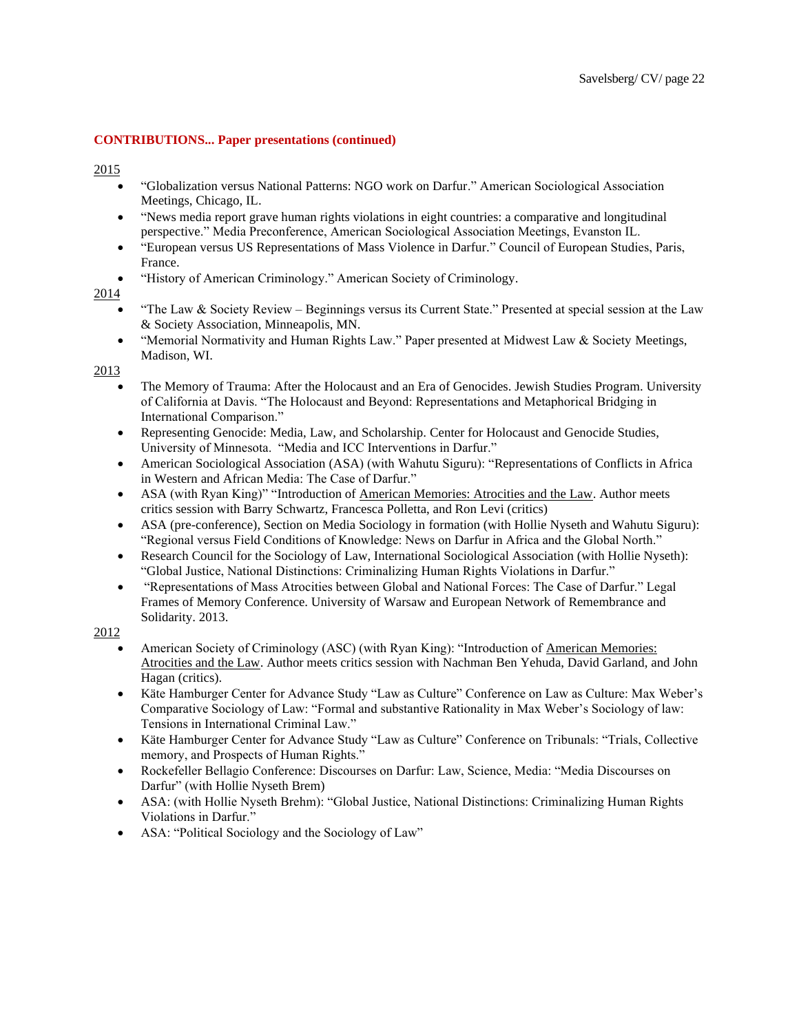2015

- "Globalization versus National Patterns: NGO work on Darfur." American Sociological Association Meetings, Chicago, IL.
- "News media report grave human rights violations in eight countries: a comparative and longitudinal perspective." Media Preconference, American Sociological Association Meetings, Evanston IL.
- "European versus US Representations of Mass Violence in Darfur." Council of European Studies, Paris, France.
- "History of American Criminology." American Society of Criminology.

# 2014

- "The Law & Society Review Beginnings versus its Current State." Presented at special session at the Law & Society Association, Minneapolis, MN.
- "Memorial Normativity and Human Rights Law." Paper presented at Midwest Law & Society Meetings, Madison, WI.

2013

- The Memory of Trauma: After the Holocaust and an Era of Genocides. Jewish Studies Program. University of California at Davis. "The Holocaust and Beyond: Representations and Metaphorical Bridging in International Comparison."
- Representing Genocide: Media, Law, and Scholarship. Center for Holocaust and Genocide Studies, University of Minnesota. "Media and ICC Interventions in Darfur."
- American Sociological Association (ASA) (with Wahutu Siguru): "Representations of Conflicts in Africa in Western and African Media: The Case of Darfur."
- ASA (with Ryan King)" "Introduction of American Memories: Atrocities and the Law. Author meets critics session with Barry Schwartz, Francesca Polletta, and Ron Levi (critics)
- ASA (pre-conference), Section on Media Sociology in formation (with Hollie Nyseth and Wahutu Siguru): "Regional versus Field Conditions of Knowledge: News on Darfur in Africa and the Global North."
- Research Council for the Sociology of Law, International Sociological Association (with Hollie Nyseth): "Global Justice, National Distinctions: Criminalizing Human Rights Violations in Darfur."
- "Representations of Mass Atrocities between Global and National Forces: The Case of Darfur." Legal Frames of Memory Conference. University of Warsaw and European Network of Remembrance and Solidarity. 2013.

- American Society of Criminology (ASC) (with Ryan King): "Introduction of American Memories: Atrocities and the Law. Author meets critics session with Nachman Ben Yehuda, David Garland, and John Hagan (critics).
- Käte Hamburger Center for Advance Study "Law as Culture" Conference on Law as Culture: Max Weber's Comparative Sociology of Law: "Formal and substantive Rationality in Max Weber's Sociology of law: Tensions in International Criminal Law."
- Käte Hamburger Center for Advance Study "Law as Culture" Conference on Tribunals: "Trials, Collective memory, and Prospects of Human Rights."
- Rockefeller Bellagio Conference: Discourses on Darfur: Law, Science, Media: "Media Discourses on Darfur" (with Hollie Nyseth Brem)
- ASA: (with Hollie Nyseth Brehm): "Global Justice, National Distinctions: Criminalizing Human Rights Violations in Darfur."
- ASA: "Political Sociology and the Sociology of Law"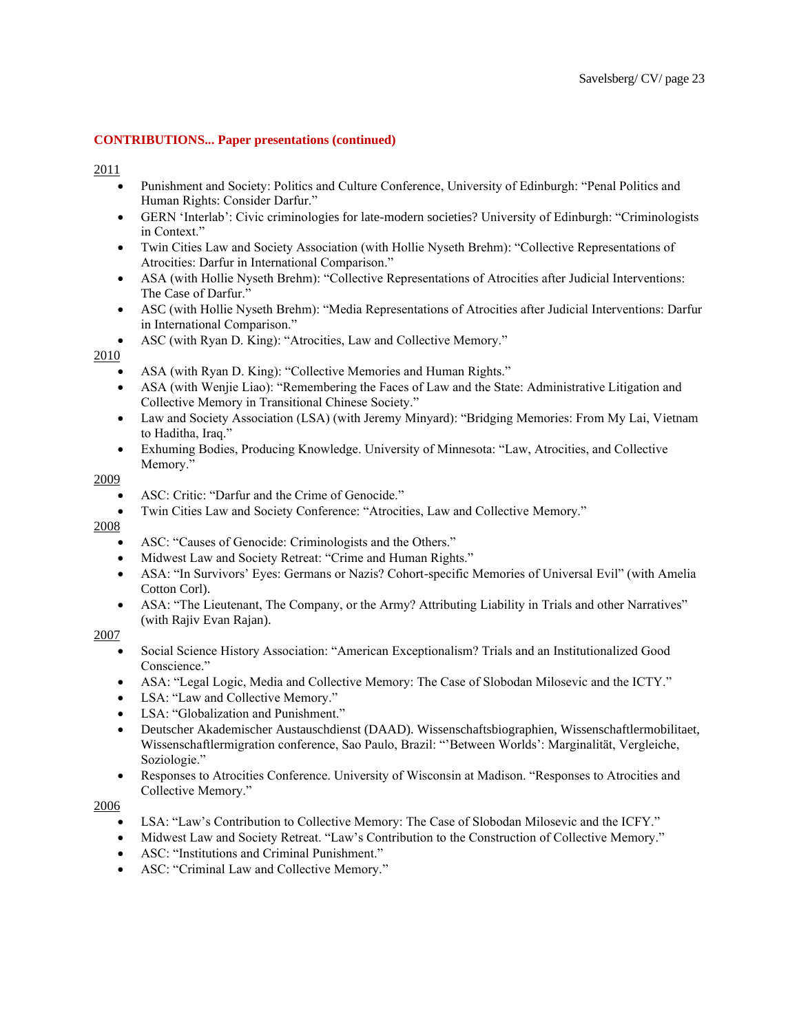### 2011

- Punishment and Society: Politics and Culture Conference, University of Edinburgh: "Penal Politics and Human Rights: Consider Darfur."
- GERN 'Interlab': Civic criminologies for late-modern societies? University of Edinburgh: "Criminologists in Context."
- Twin Cities Law and Society Association (with Hollie Nyseth Brehm): "Collective Representations of Atrocities: Darfur in International Comparison."
- ASA (with Hollie Nyseth Brehm): "Collective Representations of Atrocities after Judicial Interventions: The Case of Darfur."
- ASC (with Hollie Nyseth Brehm): "Media Representations of Atrocities after Judicial Interventions: Darfur in International Comparison."
- ASC (with Ryan D. King): "Atrocities, Law and Collective Memory."

# 2010

- ASA (with Ryan D. King): "Collective Memories and Human Rights."
- ASA (with Wenjie Liao): "Remembering the Faces of Law and the State: Administrative Litigation and Collective Memory in Transitional Chinese Society."
- Law and Society Association (LSA) (with Jeremy Minyard): "Bridging Memories: From My Lai, Vietnam to Haditha, Iraq."
- Exhuming Bodies, Producing Knowledge. University of Minnesota: "Law, Atrocities, and Collective Memory."

# 2009

- ASC: Critic: "Darfur and the Crime of Genocide."
- Twin Cities Law and Society Conference: "Atrocities, Law and Collective Memory."

# 2008

- ASC: "Causes of Genocide: Criminologists and the Others."
- Midwest Law and Society Retreat: "Crime and Human Rights."
- ASA: "In Survivors' Eyes: Germans or Nazis? Cohort-specific Memories of Universal Evil" (with Amelia Cotton Corl).
- ASA: "The Lieutenant, The Company, or the Army? Attributing Liability in Trials and other Narratives" (with Rajiv Evan Rajan).

# 2007

- Social Science History Association: "American Exceptionalism? Trials and an Institutionalized Good Conscience."
- ASA: "Legal Logic, Media and Collective Memory: The Case of Slobodan Milosevic and the ICTY."
- LSA: "Law and Collective Memory."
- LSA: "Globalization and Punishment."
- Deutscher Akademischer Austauschdienst (DAAD). Wissenschaftsbiographien, Wissenschaftlermobilitaet, Wissenschaftlermigration conference, Sao Paulo, Brazil: "'Between Worlds': Marginalität, Vergleiche, Soziologie."
- Responses to Atrocities Conference. University of Wisconsin at Madison. "Responses to Atrocities and Collective Memory."

- LSA: "Law's Contribution to Collective Memory: The Case of Slobodan Milosevic and the ICFY."
- Midwest Law and Society Retreat. "Law's Contribution to the Construction of Collective Memory."
- ASC: "Institutions and Criminal Punishment."
- ASC: "Criminal Law and Collective Memory."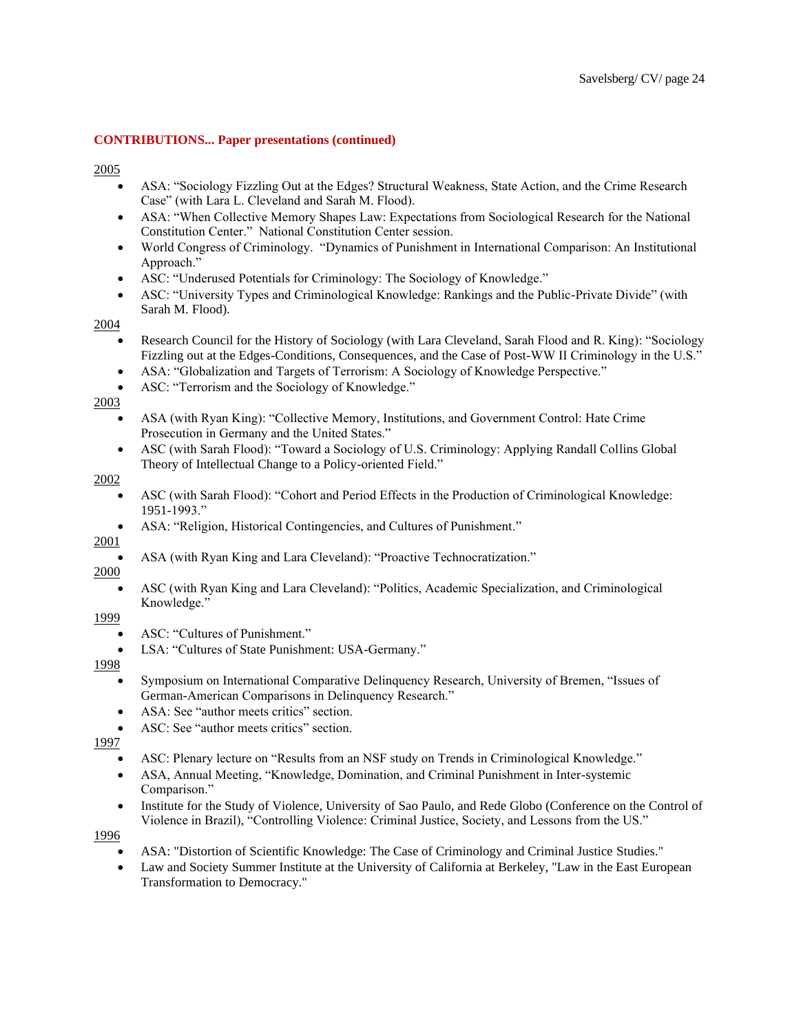2005

- ASA: "Sociology Fizzling Out at the Edges? Structural Weakness, State Action, and the Crime Research Case" (with Lara L. Cleveland and Sarah M. Flood).
- ASA: "When Collective Memory Shapes Law: Expectations from Sociological Research for the National Constitution Center." National Constitution Center session.
- World Congress of Criminology. "Dynamics of Punishment in International Comparison: An Institutional Approach."
- ASC: "Underused Potentials for Criminology: The Sociology of Knowledge."
- ASC: "University Types and Criminological Knowledge: Rankings and the Public-Private Divide" (with Sarah M. Flood).

2004

- Research Council for the History of Sociology (with Lara Cleveland, Sarah Flood and R. King): "Sociology Fizzling out at the Edges-Conditions, Consequences, and the Case of Post-WW II Criminology in the U.S."
- ASA: "Globalization and Targets of Terrorism: A Sociology of Knowledge Perspective."
- ASC: "Terrorism and the Sociology of Knowledge."

2003

- ASA (with Ryan King): "Collective Memory, Institutions, and Government Control: Hate Crime Prosecution in Germany and the United States."
- ASC (with Sarah Flood): "Toward a Sociology of U.S. Criminology: Applying Randall Collins Global Theory of Intellectual Change to a Policy-oriented Field."

2002

- ASC (with Sarah Flood): "Cohort and Period Effects in the Production of Criminological Knowledge: 1951-1993."
- ASA: "Religion, Historical Contingencies, and Cultures of Punishment."

2001

• ASA (with Ryan King and Lara Cleveland): "Proactive Technocratization."

2000

• ASC (with Ryan King and Lara Cleveland): "Politics, Academic Specialization, and Criminological Knowledge."

1999

- ASC: "Cultures of Punishment."
- LSA: "Cultures of State Punishment: USA-Germany."

1998

- Symposium on International Comparative Delinquency Research, University of Bremen, "Issues of German-American Comparisons in Delinquency Research."
- ASA: See "author meets critics" section.
- ASC: See "author meets critics" section.

1997

- ASC: Plenary lecture on "Results from an NSF study on Trends in Criminological Knowledge."
- ASA, Annual Meeting, "Knowledge, Domination, and Criminal Punishment in Inter-systemic Comparison."
- Institute for the Study of Violence, University of Sao Paulo, and Rede Globo (Conference on the Control of Violence in Brazil), "Controlling Violence: Criminal Justice, Society, and Lessons from the US."

- ASA: "Distortion of Scientific Knowledge: The Case of Criminology and Criminal Justice Studies."
- Law and Society Summer Institute at the University of California at Berkeley, "Law in the East European Transformation to Democracy."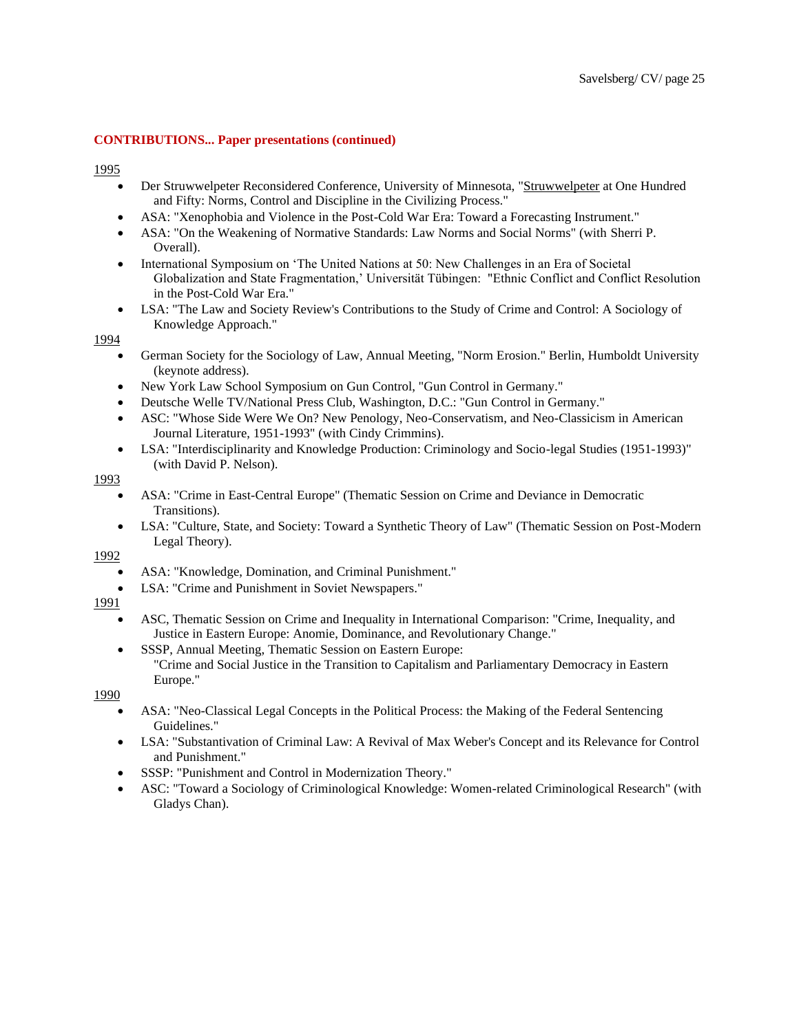1995

- Der Struwwelpeter Reconsidered Conference, University of Minnesota, "Struwwelpeter at One Hundred and Fifty: Norms, Control and Discipline in the Civilizing Process."
- ASA: "Xenophobia and Violence in the Post-Cold War Era: Toward a Forecasting Instrument."
- ASA: "On the Weakening of Normative Standards: Law Norms and Social Norms" (with Sherri P. Overall).
- International Symposium on 'The United Nations at 50: New Challenges in an Era of Societal Globalization and State Fragmentation,' Universität Tübingen: "Ethnic Conflict and Conflict Resolution in the Post-Cold War Era."
- LSA: "The Law and Society Review's Contributions to the Study of Crime and Control: A Sociology of Knowledge Approach."

### 1994

- German Society for the Sociology of Law, Annual Meeting, "Norm Erosion." Berlin, Humboldt University (keynote address).
- New York Law School Symposium on Gun Control, "Gun Control in Germany."
- Deutsche Welle TV/National Press Club, Washington, D.C.: "Gun Control in Germany."
- ASC: "Whose Side Were We On? New Penology, Neo-Conservatism, and Neo-Classicism in American Journal Literature, 1951-1993" (with Cindy Crimmins).
- LSA: "Interdisciplinarity and Knowledge Production: Criminology and Socio-legal Studies (1951-1993)" (with David P. Nelson).

### 1993

- ASA: "Crime in East-Central Europe" (Thematic Session on Crime and Deviance in Democratic Transitions).
- LSA: "Culture, State, and Society: Toward a Synthetic Theory of Law" (Thematic Session on Post-Modern Legal Theory).

1992

- ASA: "Knowledge, Domination, and Criminal Punishment."
- LSA: "Crime and Punishment in Soviet Newspapers."

# 1991

- ASC, Thematic Session on Crime and Inequality in International Comparison: "Crime, Inequality, and Justice in Eastern Europe: Anomie, Dominance, and Revolutionary Change."
- SSSP, Annual Meeting, Thematic Session on Eastern Europe: "Crime and Social Justice in the Transition to Capitalism and Parliamentary Democracy in Eastern Europe."

- ASA: "Neo-Classical Legal Concepts in the Political Process: the Making of the Federal Sentencing Guidelines."
- LSA: "Substantivation of Criminal Law: A Revival of Max Weber's Concept and its Relevance for Control and Punishment."
- SSSP: "Punishment and Control in Modernization Theory."
- ASC: "Toward a Sociology of Criminological Knowledge: Women-related Criminological Research" (with Gladys Chan).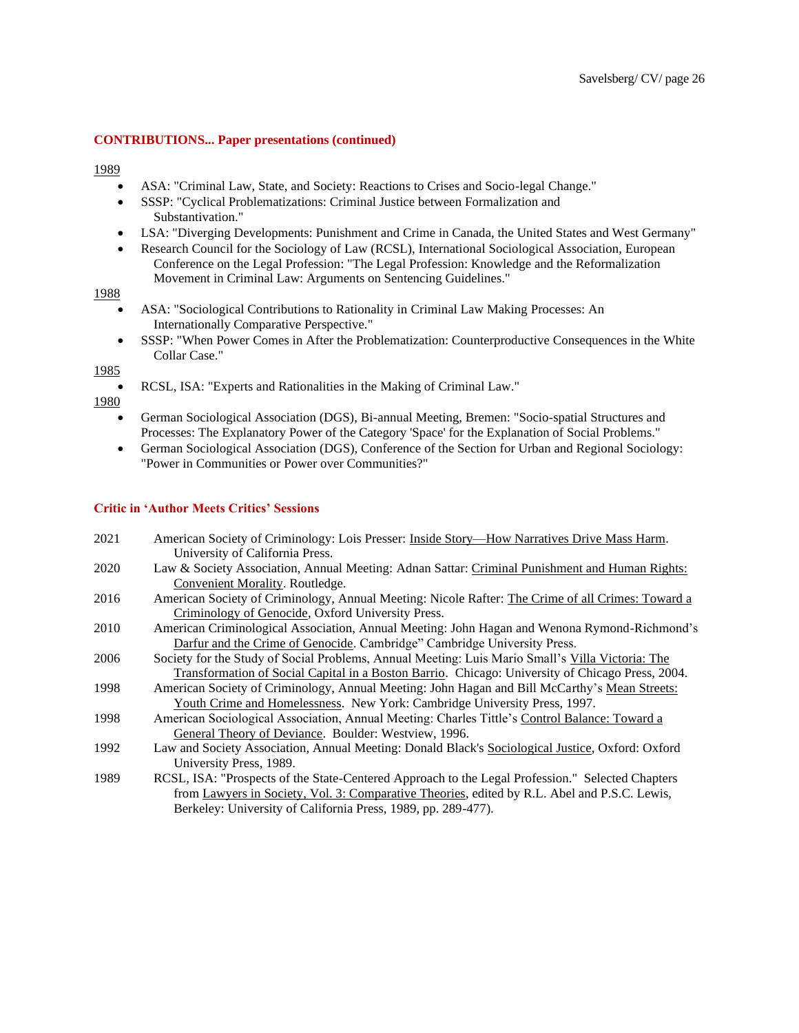#### 1989

- ASA: "Criminal Law, State, and Society: Reactions to Crises and Socio-legal Change."
- SSSP: "Cyclical Problematizations: Criminal Justice between Formalization and Substantivation."
- LSA: "Diverging Developments: Punishment and Crime in Canada, the United States and West Germany"
- Research Council for the Sociology of Law (RCSL), International Sociological Association, European Conference on the Legal Profession: "The Legal Profession: Knowledge and the Reformalization Movement in Criminal Law: Arguments on Sentencing Guidelines."

# 1988

- ASA: "Sociological Contributions to Rationality in Criminal Law Making Processes: An Internationally Comparative Perspective."
- SSSP: "When Power Comes in After the Problematization: Counterproductive Consequences in the White Collar Case."

#### 1985

• RCSL, ISA: "Experts and Rationalities in the Making of Criminal Law."

1980

- German Sociological Association (DGS), Bi-annual Meeting, Bremen: "Socio-spatial Structures and Processes: The Explanatory Power of the Category 'Space' for the Explanation of Social Problems."
- German Sociological Association (DGS), Conference of the Section for Urban and Regional Sociology: "Power in Communities or Power over Communities?"

#### **Critic in 'Author Meets Critics' Sessions**

| 2021 | American Society of Criminology: Lois Presser: Inside Story—How Narratives Drive Mass Harm.       |
|------|---------------------------------------------------------------------------------------------------|
|      | University of California Press.                                                                   |
| 2020 | Law & Society Association, Annual Meeting: Adnan Sattar: Criminal Punishment and Human Rights:    |
|      | Convenient Morality. Routledge.                                                                   |
| 2016 | American Society of Criminology, Annual Meeting: Nicole Rafter: The Crime of all Crimes: Toward a |
|      | Criminology of Genocide, Oxford University Press.                                                 |
| 2010 | American Criminological Association, Annual Meeting: John Hagan and Wenona Rymond-Richmond's      |
|      | Darfur and the Crime of Genocide. Cambridge" Cambridge University Press.                          |
| 2006 | Society for the Study of Social Problems, Annual Meeting: Luis Mario Small's Villa Victoria: The  |
|      | Transformation of Social Capital in a Boston Barrio. Chicago: University of Chicago Press, 2004.  |
| 1998 | American Society of Criminology, Annual Meeting: John Hagan and Bill McCarthy's Mean Streets:     |
|      | Youth Crime and Homelessness. New York: Cambridge University Press, 1997.                         |
| 1998 | American Sociological Association, Annual Meeting: Charles Tittle's Control Balance: Toward a     |
|      | General Theory of Deviance. Boulder: Westview, 1996.                                              |
| 1992 | Law and Society Association, Annual Meeting: Donald Black's Sociological Justice, Oxford: Oxford  |
|      | University Press, 1989.                                                                           |
| 1989 | RCSL, ISA: "Prospects of the State-Centered Approach to the Legal Profession." Selected Chapters  |
|      | from Lawyers in Society, Vol. 3: Comparative Theories, edited by R.L. Abel and P.S.C. Lewis,      |

Berkeley: University of California Press, 1989, pp. 289-477).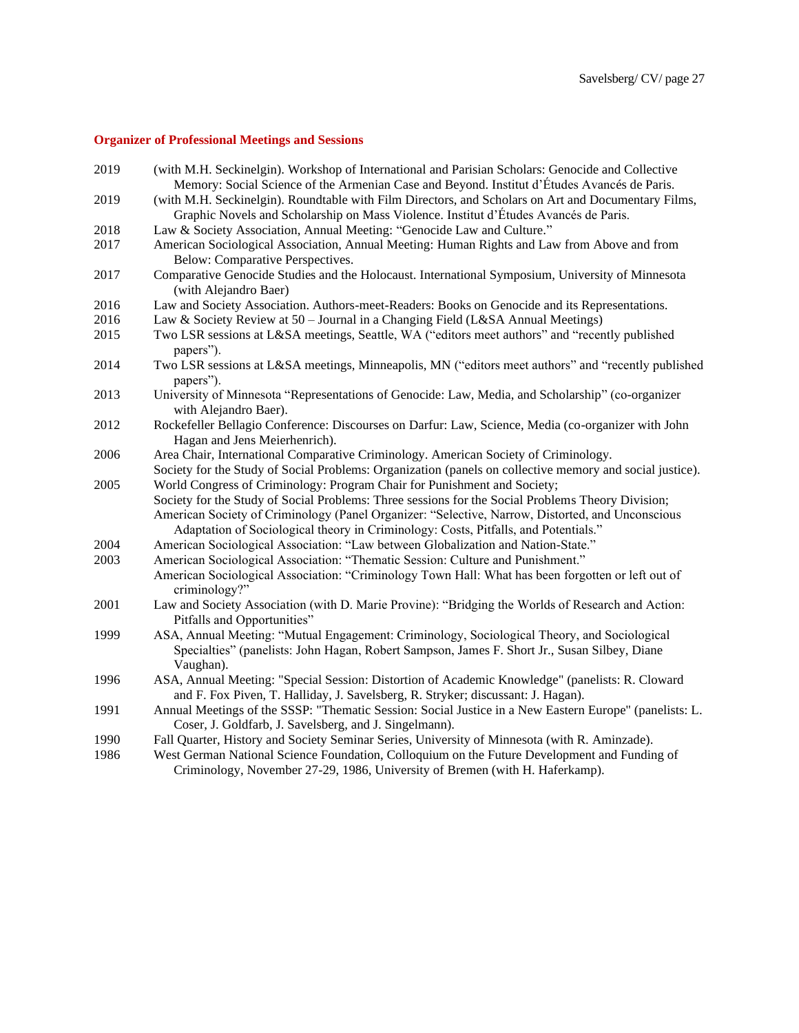# **Organizer of Professional Meetings and Sessions**

| 2019 | (with M.H. Seckinelgin). Workshop of International and Parisian Scholars: Genocide and Collective                                                                                                        |
|------|----------------------------------------------------------------------------------------------------------------------------------------------------------------------------------------------------------|
|      | Memory: Social Science of the Armenian Case and Beyond. Institut d'Études Avancés de Paris.                                                                                                              |
| 2019 | (with M.H. Seckinelgin). Roundtable with Film Directors, and Scholars on Art and Documentary Films,                                                                                                      |
|      | Graphic Novels and Scholarship on Mass Violence. Institut d'Études Avancés de Paris.                                                                                                                     |
| 2018 | Law & Society Association, Annual Meeting: "Genocide Law and Culture."                                                                                                                                   |
| 2017 | American Sociological Association, Annual Meeting: Human Rights and Law from Above and from<br>Below: Comparative Perspectives.                                                                          |
| 2017 | Comparative Genocide Studies and the Holocaust. International Symposium, University of Minnesota<br>(with Alejandro Baer)                                                                                |
| 2016 | Law and Society Association. Authors-meet-Readers: Books on Genocide and its Representations.                                                                                                            |
| 2016 | Law & Society Review at 50 - Journal in a Changing Field (L&SA Annual Meetings)                                                                                                                          |
| 2015 | Two LSR sessions at L&SA meetings, Seattle, WA ("editors meet authors" and "recently published<br>papers").                                                                                              |
| 2014 | Two LSR sessions at L&SA meetings, Minneapolis, MN ("editors meet authors" and "recently published<br>papers").                                                                                          |
| 2013 | University of Minnesota "Representations of Genocide: Law, Media, and Scholarship" (co-organizer<br>with Alejandro Baer).                                                                                |
| 2012 | Rockefeller Bellagio Conference: Discourses on Darfur: Law, Science, Media (co-organizer with John<br>Hagan and Jens Meierhenrich).                                                                      |
| 2006 | Area Chair, International Comparative Criminology. American Society of Criminology.                                                                                                                      |
|      | Society for the Study of Social Problems: Organization (panels on collective memory and social justice).                                                                                                 |
| 2005 | World Congress of Criminology: Program Chair for Punishment and Society;                                                                                                                                 |
|      | Society for the Study of Social Problems: Three sessions for the Social Problems Theory Division;                                                                                                        |
|      | American Society of Criminology (Panel Organizer: "Selective, Narrow, Distorted, and Unconscious                                                                                                         |
|      | Adaptation of Sociological theory in Criminology: Costs, Pitfalls, and Potentials."                                                                                                                      |
| 2004 | American Sociological Association: "Law between Globalization and Nation-State."                                                                                                                         |
| 2003 | American Sociological Association: "Thematic Session: Culture and Punishment."                                                                                                                           |
|      | American Sociological Association: "Criminology Town Hall: What has been forgotten or left out of<br>criminology?"                                                                                       |
| 2001 | Law and Society Association (with D. Marie Provine): "Bridging the Worlds of Research and Action:<br>Pitfalls and Opportunities"                                                                         |
| 1999 | ASA, Annual Meeting: "Mutual Engagement: Criminology, Sociological Theory, and Sociological<br>Specialties" (panelists: John Hagan, Robert Sampson, James F. Short Jr., Susan Silbey, Diane<br>Vaughan). |
| 1996 | ASA, Annual Meeting: "Special Session: Distortion of Academic Knowledge" (panelists: R. Cloward                                                                                                          |
|      | and F. Fox Piven, T. Halliday, J. Savelsberg, R. Stryker; discussant: J. Hagan).                                                                                                                         |
| 1991 | Annual Meetings of the SSSP: "Thematic Session: Social Justice in a New Eastern Europe" (panelists: L.<br>Coser, J. Goldfarb, J. Savelsberg, and J. Singelmann).                                         |
| 1990 | Fall Quarter, History and Society Seminar Series, University of Minnesota (with R. Aminzade).                                                                                                            |
| 1986 | West German National Science Foundation, Colloquium on the Future Development and Funding of<br>Criminology, November 27-29, 1986, University of Bremen (with H. Haferkamp).                             |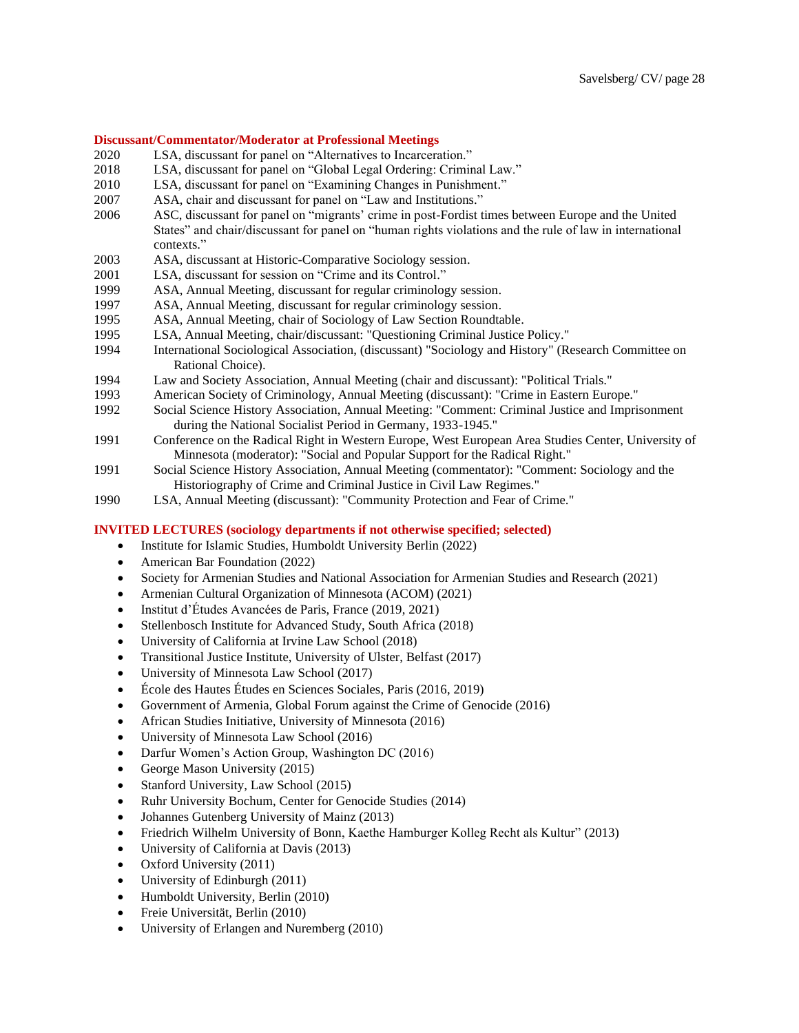#### **Discussant/Commentator/Moderator at Professional Meetings**

- 2020 LSA, discussant for panel on "Alternatives to Incarceration."
- 2018 LSA, discussant for panel on "Global Legal Ordering: Criminal Law."
- 2010 LSA, discussant for panel on "Examining Changes in Punishment."
- 2007 ASA, chair and discussant for panel on "Law and Institutions."
- 2006 ASC, discussant for panel on "migrants' crime in post-Fordist times between Europe and the United States" and chair/discussant for panel on "human rights violations and the rule of law in international contexts."
- 2003 ASA, discussant at Historic-Comparative Sociology session.
- 2001 LSA, discussant for session on "Crime and its Control."
- 1999 ASA, Annual Meeting, discussant for regular criminology session.
- 1997 ASA, Annual Meeting, discussant for regular criminology session.
- 1995 ASA, Annual Meeting, chair of Sociology of Law Section Roundtable.
- 1995 LSA, Annual Meeting, chair/discussant: "Questioning Criminal Justice Policy."
- 1994 International Sociological Association, (discussant) "Sociology and History" (Research Committee on Rational Choice).
- 1994 Law and Society Association, Annual Meeting (chair and discussant): "Political Trials."
- 1993 American Society of Criminology, Annual Meeting (discussant): "Crime in Eastern Europe."
- 1992 Social Science History Association, Annual Meeting: "Comment: Criminal Justice and Imprisonment during the National Socialist Period in Germany, 1933-1945."
- 1991 Conference on the Radical Right in Western Europe, West European Area Studies Center, University of Minnesota (moderator): "Social and Popular Support for the Radical Right."
- 1991 Social Science History Association, Annual Meeting (commentator): "Comment: Sociology and the Historiography of Crime and Criminal Justice in Civil Law Regimes."
- 1990 LSA, Annual Meeting (discussant): "Community Protection and Fear of Crime."

# **INVITED LECTURES (sociology departments if not otherwise specified; selected)**

- Institute for Islamic Studies, Humboldt University Berlin (2022)
- American Bar Foundation (2022)
- Society for Armenian Studies and National Association for Armenian Studies and Research (2021)
- Armenian Cultural Organization of Minnesota (ACOM) (2021)
- Institut d'Études Avancées de Paris, France (2019, 2021)
- Stellenbosch Institute for Advanced Study, South Africa (2018)
- University of California at Irvine Law School (2018)
- Transitional Justice Institute, University of Ulster, Belfast (2017)
- University of Minnesota Law School (2017)
- École des Hautes Études en Sciences Sociales, Paris (2016, 2019)
- Government of Armenia, Global Forum against the Crime of Genocide (2016)
- African Studies Initiative, University of Minnesota (2016)
- University of Minnesota Law School (2016)
- Darfur Women's Action Group, Washington DC (2016)
- George Mason University (2015)
- Stanford University, Law School (2015)
- Ruhr University Bochum, Center for Genocide Studies (2014)
- Johannes Gutenberg University of Mainz (2013)
- Friedrich Wilhelm University of Bonn, Kaethe Hamburger Kolleg Recht als Kultur" (2013)
- University of California at Davis (2013)
- Oxford University (2011)
- University of Edinburgh (2011)
- Humboldt University, Berlin (2010)
- Freie Universität, Berlin (2010)
- University of Erlangen and Nuremberg (2010)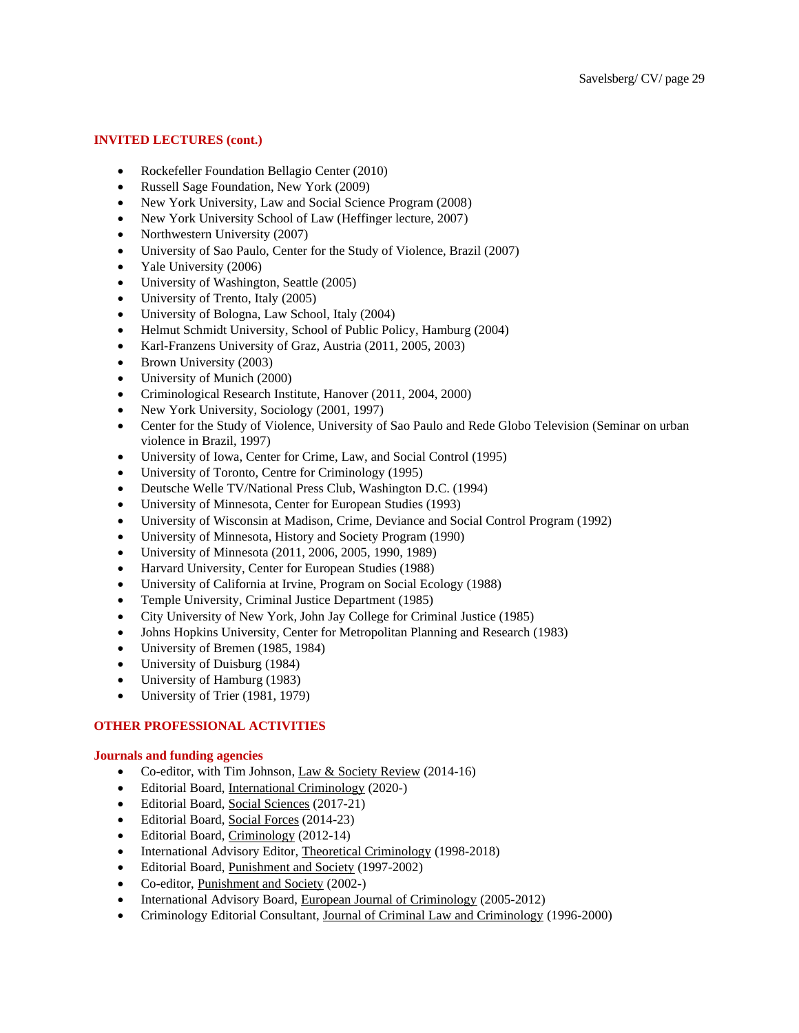# **INVITED LECTURES (cont.)**

- Rockefeller Foundation Bellagio Center (2010)
- Russell Sage Foundation, New York (2009)
- New York University, Law and Social Science Program (2008)
- New York University School of Law (Heffinger lecture, 2007)
- Northwestern University (2007)
- University of Sao Paulo, Center for the Study of Violence, Brazil (2007)
- Yale University (2006)
- University of Washington, Seattle (2005)
- University of Trento, Italy (2005)
- University of Bologna, Law School, Italy (2004)
- Helmut Schmidt University, School of Public Policy, Hamburg (2004)
- Karl-Franzens University of Graz, Austria (2011, 2005, 2003)
- Brown University (2003)
- University of Munich (2000)
- Criminological Research Institute, Hanover (2011, 2004, 2000)
- New York University, Sociology (2001, 1997)
- Center for the Study of Violence, University of Sao Paulo and Rede Globo Television (Seminar on urban violence in Brazil, 1997)
- University of Iowa, Center for Crime, Law, and Social Control (1995)
- University of Toronto, Centre for Criminology (1995)
- Deutsche Welle TV/National Press Club, Washington D.C. (1994)
- University of Minnesota, Center for European Studies (1993)
- University of Wisconsin at Madison, Crime, Deviance and Social Control Program (1992)
- University of Minnesota, History and Society Program (1990)
- University of Minnesota (2011, 2006, 2005, 1990, 1989)
- Harvard University, Center for European Studies (1988)
- University of California at Irvine, Program on Social Ecology (1988)
- Temple University, Criminal Justice Department (1985)
- City University of New York, John Jay College for Criminal Justice (1985)
- Johns Hopkins University, Center for Metropolitan Planning and Research (1983)
- University of Bremen (1985, 1984)
- University of Duisburg (1984)
- University of Hamburg (1983)
- University of Trier (1981, 1979)

#### **OTHER PROFESSIONAL ACTIVITIES**

# **Journals and funding agencies**

- Co-editor, with Tim Johnson, Law & Society Review (2014-16)
- Editorial Board, International Criminology (2020-)
- Editorial Board, Social Sciences (2017-21)
- Editorial Board, Social Forces (2014-23)
- Editorial Board, Criminology (2012-14)
- International Advisory Editor, Theoretical Criminology (1998-2018)
- Editorial Board, Punishment and Society (1997-2002)
- Co-editor, Punishment and Society (2002-)
- International Advisory Board, European Journal of Criminology (2005-2012)
- Criminology Editorial Consultant, Journal of Criminal Law and Criminology (1996-2000)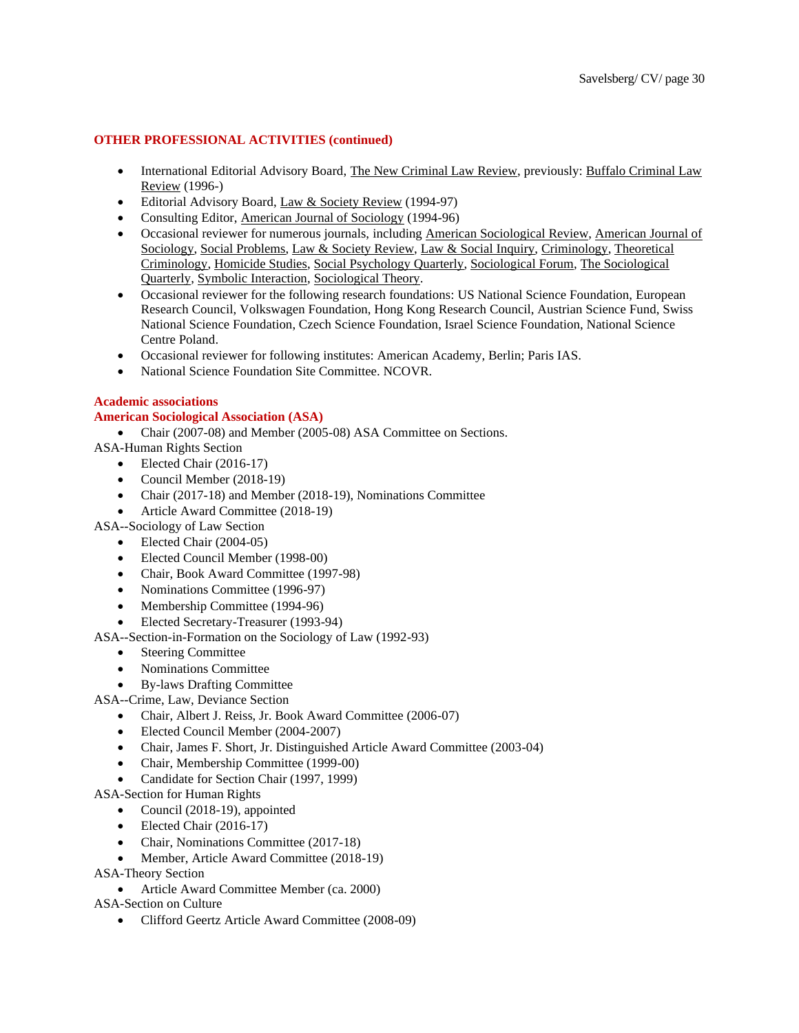# **OTHER PROFESSIONAL ACTIVITIES (continued)**

- International Editorial Advisory Board, The New Criminal Law Review, previously: Buffalo Criminal Law Review (1996-)
- Editorial Advisory Board, Law & Society Review (1994-97)
- Consulting Editor, American Journal of Sociology (1994-96)
- Occasional reviewer for numerous journals, including American Sociological Review, American Journal of Sociology, Social Problems, Law & Society Review, Law & Social Inquiry, Criminology, Theoretical Criminology, Homicide Studies, Social Psychology Quarterly, Sociological Forum, The Sociological Quarterly, Symbolic Interaction, Sociological Theory.
- Occasional reviewer for the following research foundations: US National Science Foundation, European Research Council, Volkswagen Foundation, Hong Kong Research Council, Austrian Science Fund, Swiss National Science Foundation, Czech Science Foundation, Israel Science Foundation, National Science Centre Poland.
- Occasional reviewer for following institutes: American Academy, Berlin; Paris IAS.
- National Science Foundation Site Committee. NCOVR.

# **Academic associations**

# **American Sociological Association (ASA)**

• Chair (2007-08) and Member (2005-08) ASA Committee on Sections.

- ASA-Human Rights Section
	- Elected Chair (2016-17)
	- Council Member (2018-19)
	- Chair (2017-18) and Member (2018-19), Nominations Committee
	- Article Award Committee (2018-19)
- ASA--Sociology of Law Section
	- Elected Chair (2004-05)
		- Elected Council Member (1998-00)
		- Chair, Book Award Committee (1997-98)
		- Nominations Committee (1996-97)
		- Membership Committee (1994-96)
		- Elected Secretary-Treasurer (1993-94)

ASA--Section-in-Formation on the Sociology of Law (1992-93)

- **Steering Committee**
- Nominations Committee
- By-laws Drafting Committee
- ASA--Crime, Law, Deviance Section
	- Chair, Albert J. Reiss, Jr. Book Award Committee (2006-07)
	- Elected Council Member (2004-2007)
	- Chair, James F. Short, Jr. Distinguished Article Award Committee (2003-04)
	- Chair, Membership Committee (1999-00)
	- Candidate for Section Chair (1997, 1999)

ASA-Section for Human Rights

- Council (2018-19), appointed
- Elected Chair (2016-17)
- Chair, Nominations Committee (2017-18)

• Member, Article Award Committee (2018-19)

ASA-Theory Section

• Article Award Committee Member (ca. 2000)

ASA-Section on Culture

• Clifford Geertz Article Award Committee (2008-09)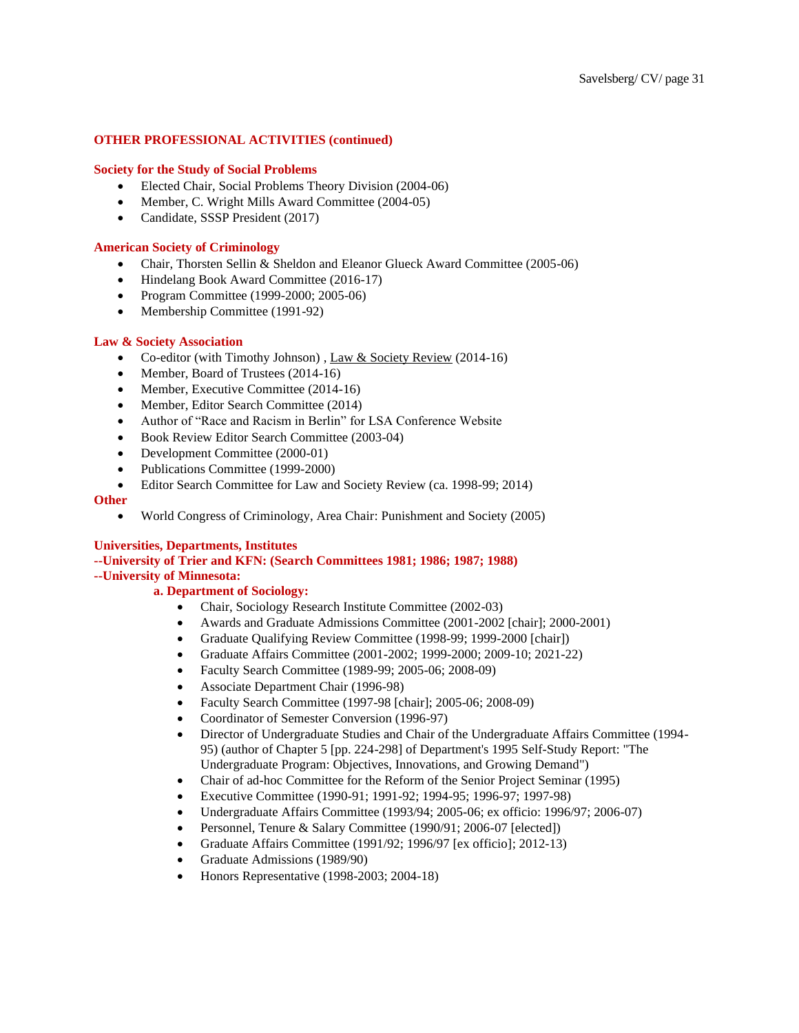### **OTHER PROFESSIONAL ACTIVITIES (continued)**

#### **Society for the Study of Social Problems**

- Elected Chair, Social Problems Theory Division (2004-06)
- Member, C. Wright Mills Award Committee (2004-05)
- Candidate, SSSP President (2017)

#### **American Society of Criminology**

- Chair, Thorsten Sellin & Sheldon and Eleanor Glueck Award Committee (2005-06)
- Hindelang Book Award Committee (2016-17)
- Program Committee (1999-2000; 2005-06)
- Membership Committee (1991-92)

#### **Law & Society Association**

- Co-editor (with Timothy Johnson), Law & Society Review (2014-16)
- Member, Board of Trustees (2014-16)
- Member, Executive Committee (2014-16)
- Member, Editor Search Committee (2014)
- Author of "Race and Racism in Berlin" for LSA Conference Website
- Book Review Editor Search Committee (2003-04)
- Development Committee (2000-01)
- Publications Committee (1999-2000)
- Editor Search Committee for Law and Society Review (ca. 1998-99; 2014)

#### **Other**

• World Congress of Criminology, Area Chair: Punishment and Society (2005)

#### **Universities, Departments, Institutes**

# **--University of Trier and KFN: (Search Committees 1981; 1986; 1987; 1988) --University of Minnesota:**

#### **a. Department of Sociology:**

- Chair, Sociology Research Institute Committee (2002-03)
- Awards and Graduate Admissions Committee (2001-2002 [chair]; 2000-2001)
- Graduate Qualifying Review Committee (1998-99; 1999-2000 [chair])
- Graduate Affairs Committee (2001-2002; 1999-2000; 2009-10; 2021-22)
- Faculty Search Committee (1989-99; 2005-06; 2008-09)
- Associate Department Chair (1996-98)
- Faculty Search Committee (1997-98 [chair]; 2005-06; 2008-09)
- Coordinator of Semester Conversion (1996-97)
- Director of Undergraduate Studies and Chair of the Undergraduate Affairs Committee (1994- 95) (author of Chapter 5 [pp. 224-298] of Department's 1995 Self-Study Report: "The Undergraduate Program: Objectives, Innovations, and Growing Demand")
- Chair of ad-hoc Committee for the Reform of the Senior Project Seminar (1995)
- Executive Committee (1990-91; 1991-92; 1994-95; 1996-97; 1997-98)
- Undergraduate Affairs Committee (1993/94; 2005-06; ex officio: 1996/97; 2006-07)
- Personnel, Tenure & Salary Committee (1990/91; 2006-07 [elected])
- Graduate Affairs Committee (1991/92; 1996/97 [ex officio]; 2012-13)
- Graduate Admissions (1989/90)
- Honors Representative (1998-2003; 2004-18)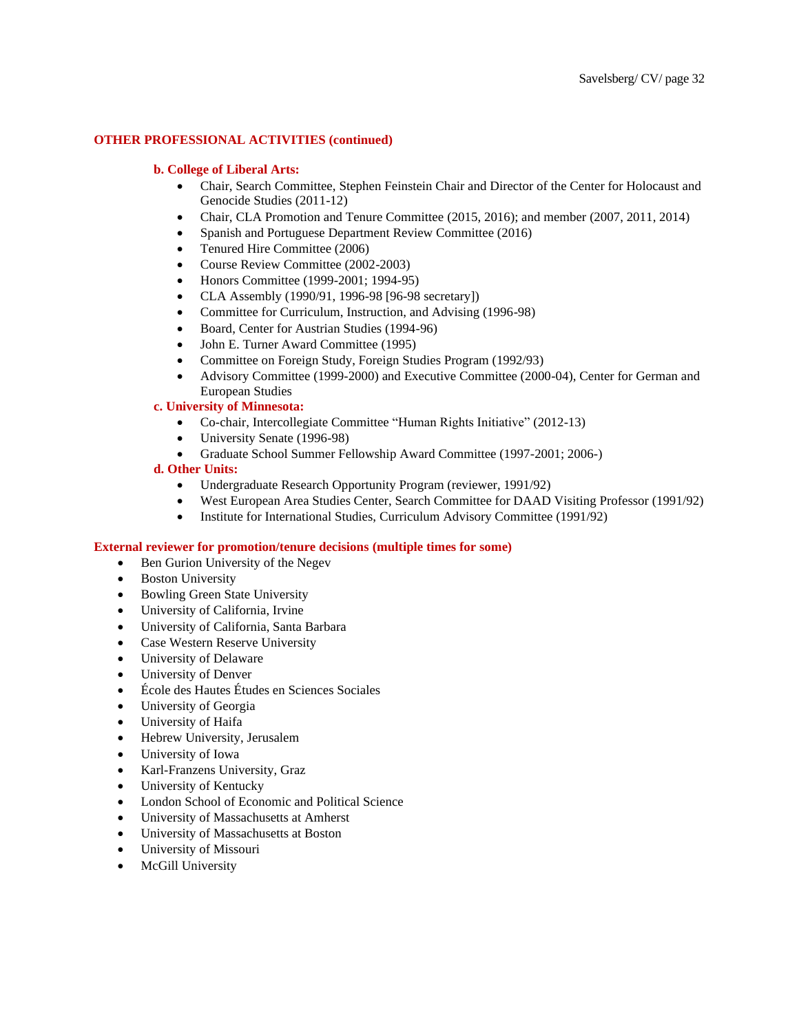### **OTHER PROFESSIONAL ACTIVITIES (continued)**

#### **b. College of Liberal Arts:**

- Chair, Search Committee, Stephen Feinstein Chair and Director of the Center for Holocaust and Genocide Studies (2011-12)
- Chair, CLA Promotion and Tenure Committee (2015, 2016); and member (2007, 2011, 2014)
- Spanish and Portuguese Department Review Committee (2016)
- Tenured Hire Committee (2006)
- Course Review Committee (2002-2003)
- Honors Committee (1999-2001; 1994-95)
- CLA Assembly (1990/91, 1996-98 [96-98 secretary])
- Committee for Curriculum, Instruction, and Advising (1996-98)
- Board, Center for Austrian Studies (1994-96)
- John E. Turner Award Committee (1995)
- Committee on Foreign Study, Foreign Studies Program (1992/93)
- Advisory Committee (1999-2000) and Executive Committee (2000-04), Center for German and European Studies

#### **c. University of Minnesota:**

- Co-chair, Intercollegiate Committee "Human Rights Initiative" (2012-13)
- University Senate (1996-98)
- Graduate School Summer Fellowship Award Committee (1997-2001; 2006-)

### **d. Other Units:**

- Undergraduate Research Opportunity Program (reviewer, 1991/92)
- West European Area Studies Center, Search Committee for DAAD Visiting Professor (1991/92)
- Institute for International Studies, Curriculum Advisory Committee (1991/92)

#### **External reviewer for promotion/tenure decisions (multiple times for some)**

- Ben Gurion University of the Negev
- Boston University
- Bowling Green State University
- University of California, Irvine
- University of California, Santa Barbara
- Case Western Reserve University
- University of Delaware
- University of Denver
- École des Hautes Études en Sciences Sociales
- University of Georgia
- University of Haifa
- Hebrew University, Jerusalem
- University of Iowa
- Karl-Franzens University, Graz
- University of Kentucky
- London School of Economic and Political Science
- University of Massachusetts at Amherst
- University of Massachusetts at Boston
- University of Missouri
- McGill University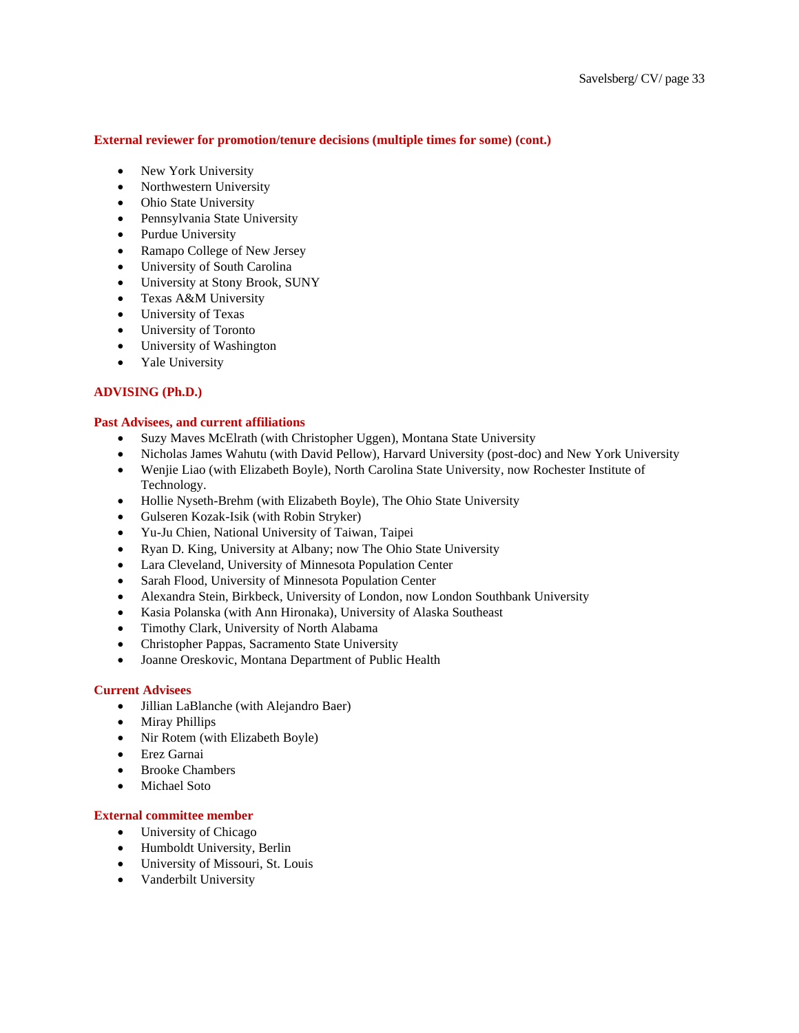# **External reviewer for promotion/tenure decisions (multiple times for some) (cont.)**

- New York University
- Northwestern University
- Ohio State University
- Pennsylvania State University
- Purdue University
- Ramapo College of New Jersey
- University of South Carolina
- University at Stony Brook, SUNY
- Texas A&M University
- University of Texas
- University of Toronto
- University of Washington
- Yale University

# **ADVISING (Ph.D.)**

### **Past Advisees, and current affiliations**

- Suzy Maves McElrath (with Christopher Uggen), Montana State University
- Nicholas James Wahutu (with David Pellow), Harvard University (post-doc) and New York University
- Wenjie Liao (with Elizabeth Boyle), North Carolina State University, now Rochester Institute of Technology.
- Hollie Nyseth-Brehm (with Elizabeth Boyle), The Ohio State University
- Gulseren Kozak-Isik (with Robin Stryker)
- Yu-Ju Chien, National University of Taiwan, Taipei
- Ryan D. King, University at Albany; now The Ohio State University
- Lara Cleveland, University of Minnesota Population Center
- Sarah Flood, University of Minnesota Population Center
- Alexandra Stein, Birkbeck, University of London, now London Southbank University
- Kasia Polanska (with Ann Hironaka), University of Alaska Southeast
- Timothy Clark, University of North Alabama
- Christopher Pappas, Sacramento State University
- Joanne Oreskovic, Montana Department of Public Health

# **Current Advisees**

- Jillian LaBlanche (with Alejandro Baer)
- Miray Phillips
- Nir Rotem (with Elizabeth Boyle)
- Erez Garnai
- Brooke Chambers
- Michael Soto

# **External committee member**

- University of Chicago
- Humboldt University, Berlin
- University of Missouri, St. Louis
- Vanderbilt University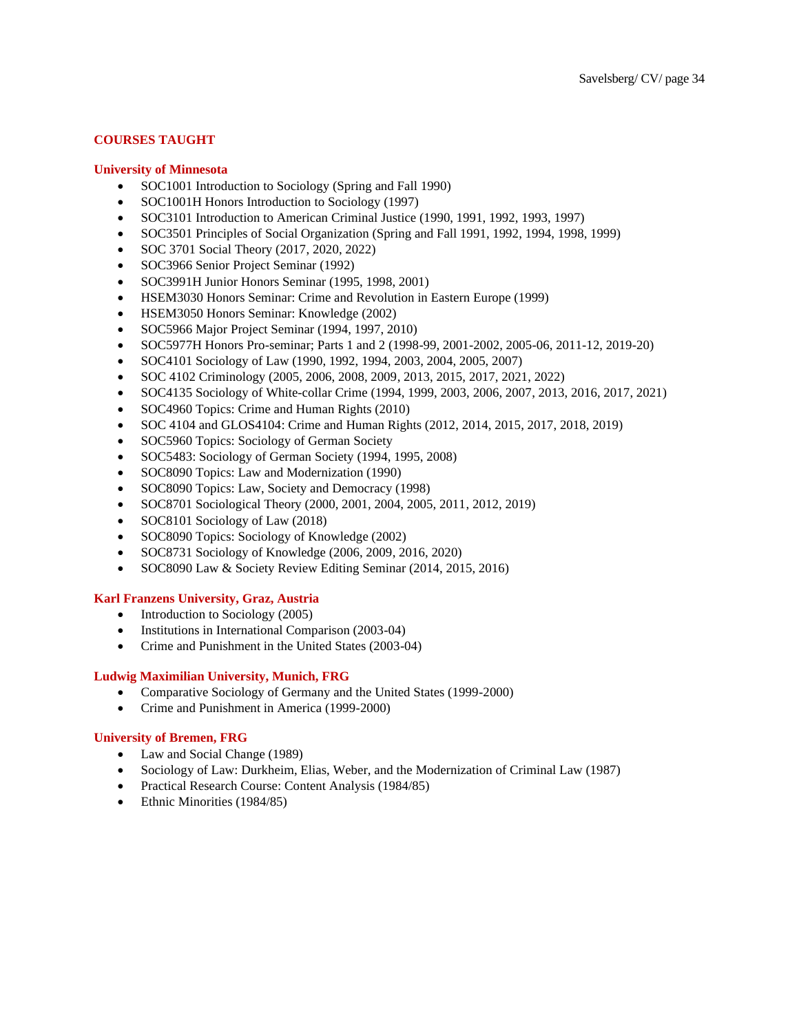# **COURSES TAUGHT**

#### **University of Minnesota**

- SOC1001 Introduction to Sociology (Spring and Fall 1990)
- SOC1001H Honors Introduction to Sociology (1997)
- SOC3101 Introduction to American Criminal Justice (1990, 1991, 1992, 1993, 1997)
- SOC3501 Principles of Social Organization (Spring and Fall 1991, 1992, 1994, 1998, 1999)
- SOC 3701 Social Theory (2017, 2020, 2022)
- SOC3966 Senior Project Seminar (1992)
- SOC3991H Junior Honors Seminar (1995, 1998, 2001)
- HSEM3030 Honors Seminar: Crime and Revolution in Eastern Europe (1999)
- HSEM3050 Honors Seminar: Knowledge (2002)
- SOC5966 Major Project Seminar (1994, 1997, 2010)
- SOC5977H Honors Pro-seminar; Parts 1 and 2 (1998-99, 2001-2002, 2005-06, 2011-12, 2019-20)
- SOC4101 Sociology of Law (1990, 1992, 1994, 2003, 2004, 2005, 2007)
- SOC 4102 Criminology (2005, 2006, 2008, 2009, 2013, 2015, 2017, 2021, 2022)
- SOC4135 Sociology of White-collar Crime (1994, 1999, 2003, 2006, 2007, 2013, 2016, 2017, 2021)
- SOC4960 Topics: Crime and Human Rights (2010)
- SOC 4104 and GLOS4104: Crime and Human Rights (2012, 2014, 2015, 2017, 2018, 2019)
- SOC5960 Topics: Sociology of German Society
- SOC5483: Sociology of German Society (1994, 1995, 2008)
- SOC8090 Topics: Law and Modernization (1990)
- SOC8090 Topics: Law, Society and Democracy (1998)
- SOC8701 Sociological Theory (2000, 2001, 2004, 2005, 2011, 2012, 2019)
- SOC8101 Sociology of Law (2018)
- SOC8090 Topics: Sociology of Knowledge (2002)
- SOC8731 Sociology of Knowledge (2006, 2009, 2016, 2020)
- SOC8090 Law & Society Review Editing Seminar (2014, 2015, 2016)

#### **Karl Franzens University, Graz, Austria**

- Introduction to Sociology (2005)
- Institutions in International Comparison (2003-04)
- Crime and Punishment in the United States (2003-04)

#### **Ludwig Maximilian University, Munich, FRG**

- Comparative Sociology of Germany and the United States (1999-2000)
- Crime and Punishment in America (1999-2000)

#### **University of Bremen, FRG**

- Law and Social Change (1989)
- Sociology of Law: Durkheim, Elias, Weber, and the Modernization of Criminal Law (1987)
- Practical Research Course: Content Analysis (1984/85)
- Ethnic Minorities (1984/85)